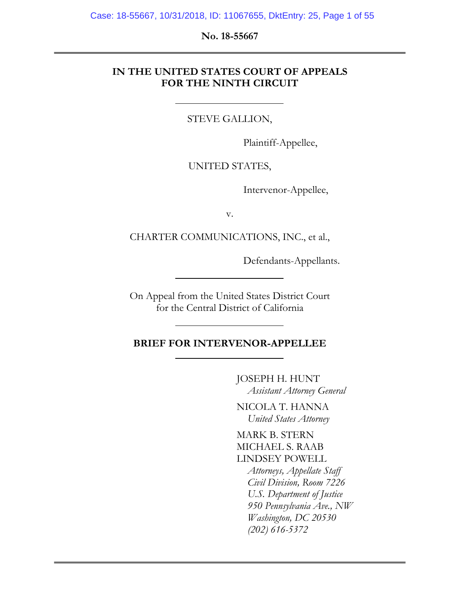**No. 18-55667**

### **IN THE UNITED STATES COURT OF APPEALS FOR THE NINTH CIRCUIT**

STEVE GALLION,

Plaintiff-Appellee,

UNITED STATES,

Intervenor-Appellee,

v.

CHARTER COMMUNICATIONS, INC., et al.,

Defendants-Appellants.

On Appeal from the United States District Court for the Central District of California

### **BRIEF FOR INTERVENOR-APPELLEE**

JOSEPH H. HUNT *Assistant Attorney General* 

NICOLA T. HANNA *United States Attorney* 

MARK B. STERN MICHAEL S. RAAB LINDSEY POWELL *Attorneys, Appellate Staff Civil Division, Room 7226 U.S. Department of Justice 950 Pennsylvania Ave., NW Washington, DC 20530 (202) 616-5372*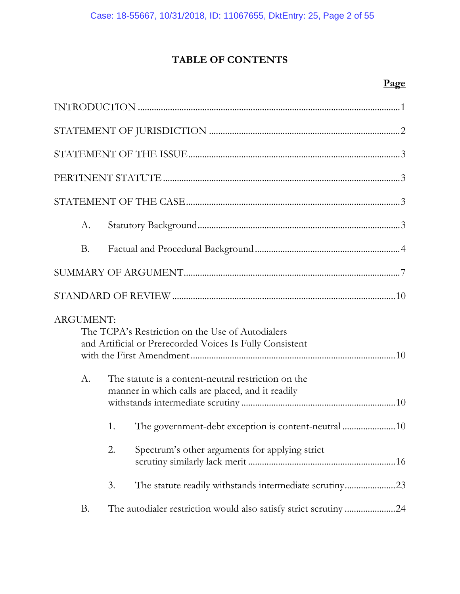## **TABLE OF CONTENTS**

## **Page**

|                  |    | $\begin{minipage}{.4\linewidth} \textbf{STATEMENT OF JURISDICTION} \end{minipage} \begin{minipage}{.4\linewidth} \textbf{0} \end{minipage} \begin{minipage}{.4\linewidth} \textbf{0} \end{minipage} \begin{minipage}{.4\linewidth} \textbf{0} \end{minipage} \begin{minipage}{.4\linewidth} \textbf{0} \end{minipage} \begin{minipage}{.4\linewidth} \textbf{0} \end{minipage} \begin{minipage}{.4\linewidth} \textbf{0} \end{minipage} \begin{minipage}{.4\linewidth} \textbf{0} \end{minipage} \begin{minipage}{.4\linewidth}$ |
|------------------|----|----------------------------------------------------------------------------------------------------------------------------------------------------------------------------------------------------------------------------------------------------------------------------------------------------------------------------------------------------------------------------------------------------------------------------------------------------------------------------------------------------------------------------------|
|                  |    |                                                                                                                                                                                                                                                                                                                                                                                                                                                                                                                                  |
|                  |    |                                                                                                                                                                                                                                                                                                                                                                                                                                                                                                                                  |
|                  |    |                                                                                                                                                                                                                                                                                                                                                                                                                                                                                                                                  |
| А.               |    |                                                                                                                                                                                                                                                                                                                                                                                                                                                                                                                                  |
| <b>B.</b>        |    |                                                                                                                                                                                                                                                                                                                                                                                                                                                                                                                                  |
|                  |    |                                                                                                                                                                                                                                                                                                                                                                                                                                                                                                                                  |
|                  |    |                                                                                                                                                                                                                                                                                                                                                                                                                                                                                                                                  |
| <b>ARGUMENT:</b> |    | The TCPA's Restriction on the Use of Autodialers<br>and Artificial or Prerecorded Voices Is Fully Consistent                                                                                                                                                                                                                                                                                                                                                                                                                     |
| A.               |    | The statute is a content-neutral restriction on the<br>manner in which calls are placed, and it readily                                                                                                                                                                                                                                                                                                                                                                                                                          |
|                  | 1. | The government-debt exception is content-neutral 10                                                                                                                                                                                                                                                                                                                                                                                                                                                                              |
|                  | 2. | Spectrum's other arguments for applying strict                                                                                                                                                                                                                                                                                                                                                                                                                                                                                   |
|                  | 3. |                                                                                                                                                                                                                                                                                                                                                                                                                                                                                                                                  |
| B.               |    | The autodialer restriction would also satisfy strict scrutiny 24                                                                                                                                                                                                                                                                                                                                                                                                                                                                 |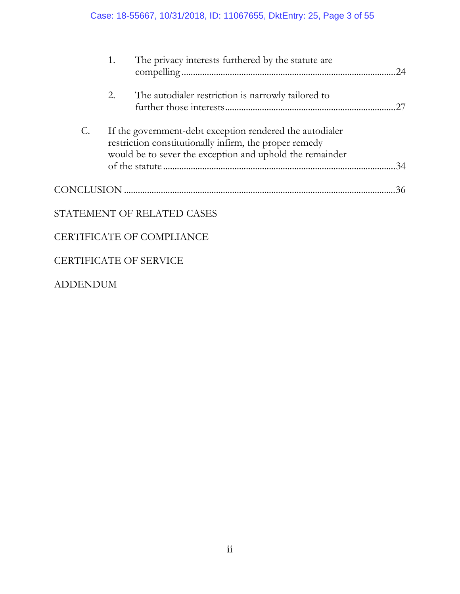### Case: 18-55667, 10/31/2018, ID: 11067655, DktEntry: 25, Page 3 of 55

|    | 1. | The privacy interests furthered by the statute are                                                                                                                             | .24 |
|----|----|--------------------------------------------------------------------------------------------------------------------------------------------------------------------------------|-----|
|    | 2. | The autodialer restriction is narrowly tailored to                                                                                                                             |     |
| C. |    | If the government-debt exception rendered the autodialer<br>restriction constitutionally infirm, the proper remedy<br>would be to sever the exception and uphold the remainder |     |
|    |    |                                                                                                                                                                                |     |
|    |    |                                                                                                                                                                                |     |
|    |    | STATEMENT OF RELATED CASES                                                                                                                                                     |     |
|    |    | <b>CERTIFICATE OF COMPLIANCE</b>                                                                                                                                               |     |

## CERTIFICATE OF SERVICE

## ADDENDUM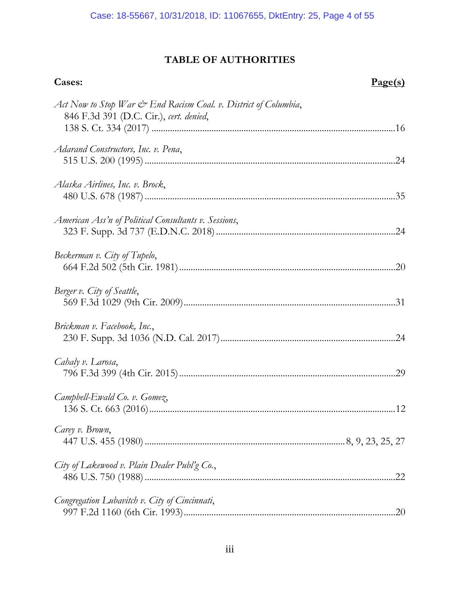## **TABLE OF AUTHORITIES**

| Cases:                                                                                                     | Page(s) |
|------------------------------------------------------------------------------------------------------------|---------|
| Act Now to Stop War & End Racism Coal. v. District of Columbia,<br>846 F.3d 391 (D.C. Cir.), cert. denied, |         |
| Adarand Constructors, Inc. v. Pena,                                                                        |         |
| Alaska Airlines, Inc. v. Brock,                                                                            |         |
| American Ass'n of Political Consultants v. Sessions,                                                       |         |
| Beckerman v. City of Tupelo,                                                                               |         |
| Berger v. City of Seattle,                                                                                 |         |
| Brickman v. Facebook, Inc.,                                                                                |         |
| Cahaly v. Larosa,                                                                                          |         |
| Campbell-Ewald Co. v. Gomez,                                                                               |         |
| Carey v. Brown,                                                                                            |         |
| City of Lakewood v. Plain Dealer Publ'g Co.,                                                               |         |
| Congregation Lubavitch v. City of Cincinnati,                                                              |         |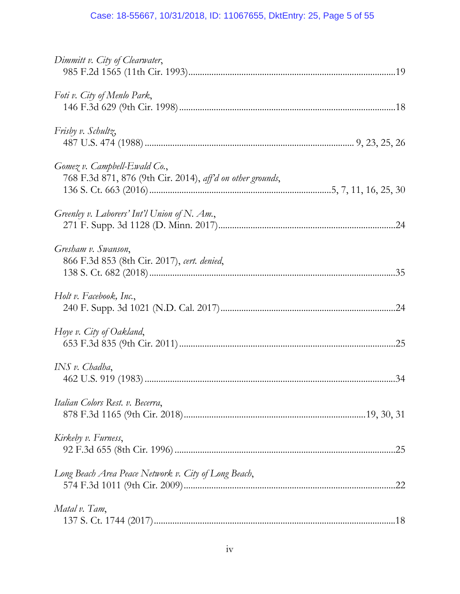## Case: 18-55667, 10/31/2018, ID: 11067655, DktEntry: 25, Page 5 of 55

| Dimmitt v. City of Clearwater,                                                             |  |
|--------------------------------------------------------------------------------------------|--|
| Foti v. City of Menlo Park,                                                                |  |
| Frisby v. Schultz,                                                                         |  |
| Gomez v. Campbell-Ewald Co.,<br>768 F.3d 871, 876 (9th Cir. 2014), aff'd on other grounds, |  |
| Greenley v. Laborers' Int'l Union of N. Am.,                                               |  |
| Gresham v. Swanson,<br>866 F.3d 853 (8th Cir. 2017), cert. denied,                         |  |
| Holt v. Facebook, Inc.,                                                                    |  |
| Hoye v. City of Oakland,                                                                   |  |
| $INS$ v. Chadha,                                                                           |  |
| Italian Colors Rest. v. Becerra,                                                           |  |
| Kirkeby v. Furness,                                                                        |  |
| Long Beach Area Peace Network v. City of Long Beach,                                       |  |
| Matal v. Tam,                                                                              |  |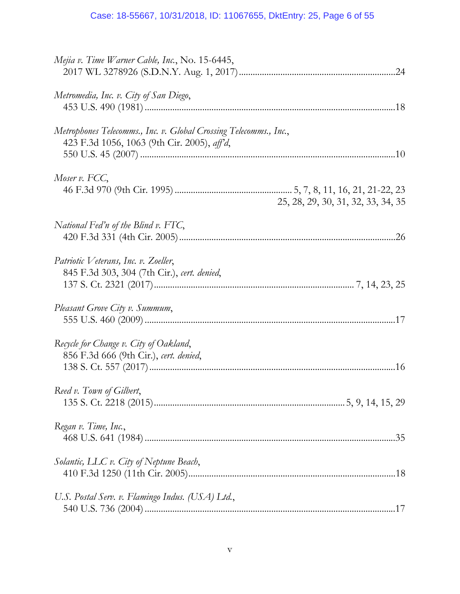## Case: 18-55667, 10/31/2018, ID: 11067655, DktEntry: 25, Page 6 of 55

| Mejia v. Time Warner Cable, Inc., No. 15-6445,                                                                   |                                    |
|------------------------------------------------------------------------------------------------------------------|------------------------------------|
| Metromedia, Inc. v. City of San Diego,                                                                           |                                    |
| Metrophones Telecomms., Inc. v. Global Crossing Telecomms., Inc.,<br>423 F.3d 1056, 1063 (9th Cir. 2005), aff'd, |                                    |
| Moser v. FCC,                                                                                                    | 25, 28, 29, 30, 31, 32, 33, 34, 35 |
| National Fed'n of the Blind v. FTC,                                                                              |                                    |
| Patriotic Veterans, Inc. v. Zoeller,<br>845 F.3d 303, 304 (7th Cir.), cert. denied,                              |                                    |
| Pleasant Grove City v. Summum,                                                                                   |                                    |
| Recycle for Change v. City of Oakland,<br>856 F.3d 666 (9th Cir.), cert. denied,                                 |                                    |
| Reed v. Town of Gilbert,                                                                                         |                                    |
| Regan v. Time, Inc.,                                                                                             |                                    |
| Solantic, LLC v. City of Neptune Beach,                                                                          |                                    |
| U.S. Postal Serv. v. Flamingo Indus. (USA) Ltd.,                                                                 |                                    |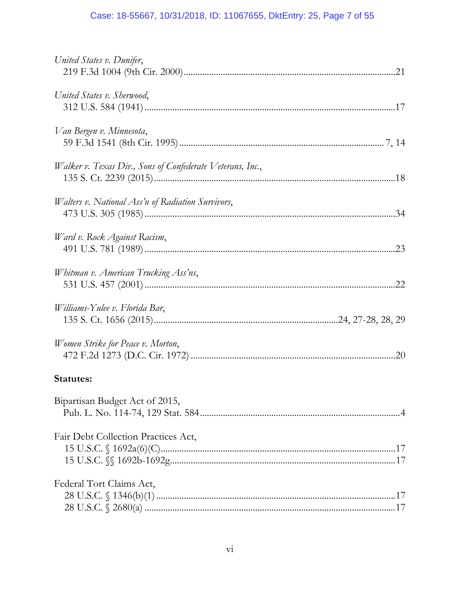## Case: 18-55667, 10/31/2018, ID: 11067655, DktEntry: 25, Page 7 of 55

| United States v. Dunifer,                                 |  |
|-----------------------------------------------------------|--|
| United States v. Sherwood,                                |  |
| Van Bergen v. Minnesota,                                  |  |
| Walker v. Texas Div., Sons of Confederate Veterans, Inc., |  |
| <i>Walters v. National Ass'n of Radiation Survivors,</i>  |  |
| Ward v. Rock Against Racism,                              |  |
| Whitman v. American Trucking Ass'ns,                      |  |
| Williams-Yulee v. Florida Bar,                            |  |
| Women Strike for Peace v. Morton,                         |  |
| Statutes:                                                 |  |
| Bipartisan Budget Act of 2015,                            |  |
| Fair Debt Collection Practices Act,                       |  |
| Federal Tort Claims Act,                                  |  |
|                                                           |  |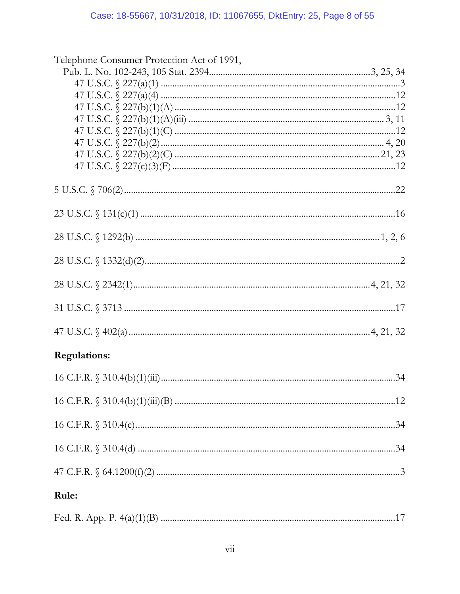| Telephone Consumer Protection Act of 1991,         |  |
|----------------------------------------------------|--|
|                                                    |  |
|                                                    |  |
|                                                    |  |
|                                                    |  |
|                                                    |  |
| 47 U.S.C. $\frac{227(b)(1)(C) \dots}{22(b)(D)(D)}$ |  |
|                                                    |  |
|                                                    |  |
|                                                    |  |
|                                                    |  |
|                                                    |  |
|                                                    |  |
|                                                    |  |
|                                                    |  |
|                                                    |  |
|                                                    |  |
|                                                    |  |
|                                                    |  |
| <b>Regulations:</b>                                |  |
|                                                    |  |
|                                                    |  |
|                                                    |  |
|                                                    |  |
|                                                    |  |
| Rule:                                              |  |
|                                                    |  |
|                                                    |  |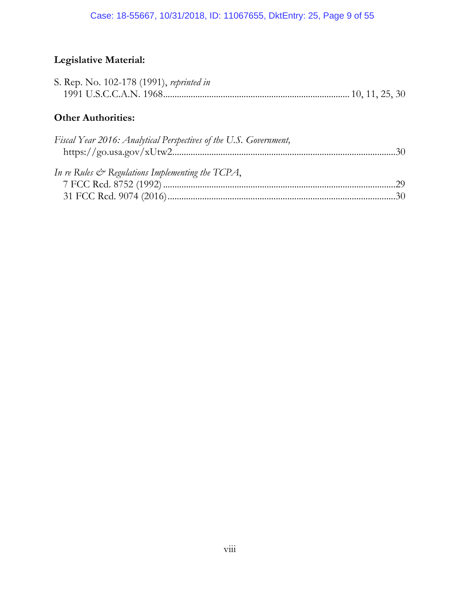## Case: 18-55667, 10/31/2018, ID: 11067655, DktEntry: 25, Page 9 of 55

# **Legislative Material:**

| S. Rep. No. 102-178 (1991), reprinted in |  |  |
|------------------------------------------|--|--|
|                                          |  |  |

## **Other Authorities:**

| Fiscal Year 2016: Analytical Perspectives of the U.S. Government, |  |
|-------------------------------------------------------------------|--|
| In re Rules $\mathcal O$ Regulations Implementing the TCPA,       |  |
|                                                                   |  |
|                                                                   |  |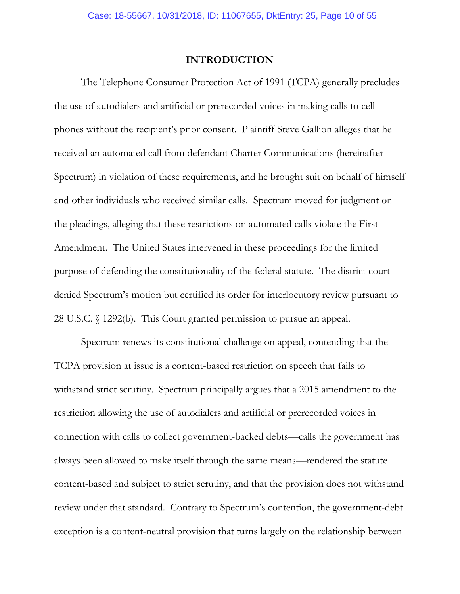### **INTRODUCTION**

The Telephone Consumer Protection Act of 1991 (TCPA) generally precludes the use of autodialers and artificial or prerecorded voices in making calls to cell phones without the recipient's prior consent. Plaintiff Steve Gallion alleges that he received an automated call from defendant Charter Communications (hereinafter Spectrum) in violation of these requirements, and he brought suit on behalf of himself and other individuals who received similar calls. Spectrum moved for judgment on the pleadings, alleging that these restrictions on automated calls violate the First Amendment. The United States intervened in these proceedings for the limited purpose of defending the constitutionality of the federal statute. The district court denied Spectrum's motion but certified its order for interlocutory review pursuant to 28 U.S.C. § 1292(b). This Court granted permission to pursue an appeal.

Spectrum renews its constitutional challenge on appeal, contending that the TCPA provision at issue is a content-based restriction on speech that fails to withstand strict scrutiny. Spectrum principally argues that a 2015 amendment to the restriction allowing the use of autodialers and artificial or prerecorded voices in connection with calls to collect government-backed debts—calls the government has always been allowed to make itself through the same means—rendered the statute content-based and subject to strict scrutiny, and that the provision does not withstand review under that standard. Contrary to Spectrum's contention, the government-debt exception is a content-neutral provision that turns largely on the relationship between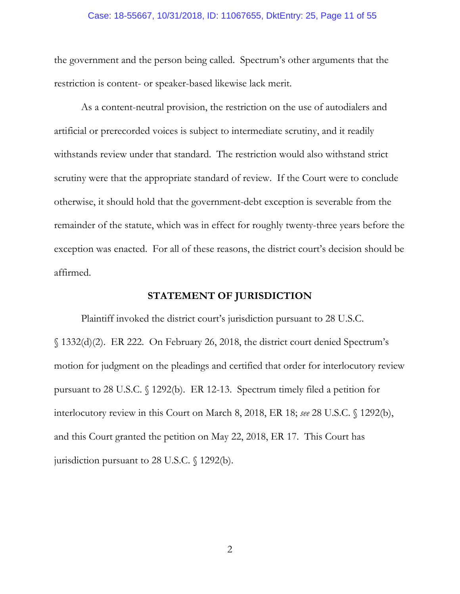#### Case: 18-55667, 10/31/2018, ID: 11067655, DktEntry: 25, Page 11 of 55

the government and the person being called. Spectrum's other arguments that the restriction is content- or speaker-based likewise lack merit.

As a content-neutral provision, the restriction on the use of autodialers and artificial or prerecorded voices is subject to intermediate scrutiny, and it readily withstands review under that standard. The restriction would also withstand strict scrutiny were that the appropriate standard of review. If the Court were to conclude otherwise, it should hold that the government-debt exception is severable from the remainder of the statute, which was in effect for roughly twenty-three years before the exception was enacted. For all of these reasons, the district court's decision should be affirmed.

### **STATEMENT OF JURISDICTION**

Plaintiff invoked the district court's jurisdiction pursuant to 28 U.S.C. § 1332(d)(2). ER 222. On February 26, 2018, the district court denied Spectrum's motion for judgment on the pleadings and certified that order for interlocutory review pursuant to 28 U.S.C. § 1292(b). ER 12-13. Spectrum timely filed a petition for interlocutory review in this Court on March 8, 2018, ER 18; *see* 28 U.S.C. § 1292(b), and this Court granted the petition on May 22, 2018, ER 17. This Court has jurisdiction pursuant to 28 U.S.C. § 1292(b).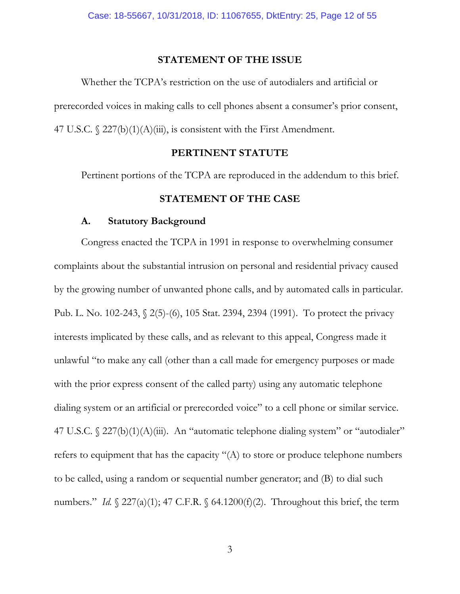### **STATEMENT OF THE ISSUE**

Whether the TCPA's restriction on the use of autodialers and artificial or prerecorded voices in making calls to cell phones absent a consumer's prior consent, 47 U.S.C.  $\frac{227(b)(1)(A)(iii)}{3}$ , is consistent with the First Amendment.

### **PERTINENT STATUTE**

Pertinent portions of the TCPA are reproduced in the addendum to this brief.

### **STATEMENT OF THE CASE**

### **A. Statutory Background**

Congress enacted the TCPA in 1991 in response to overwhelming consumer complaints about the substantial intrusion on personal and residential privacy caused by the growing number of unwanted phone calls, and by automated calls in particular. Pub. L. No. 102-243, § 2(5)-(6), 105 Stat. 2394, 2394 (1991). To protect the privacy interests implicated by these calls, and as relevant to this appeal, Congress made it unlawful "to make any call (other than a call made for emergency purposes or made with the prior express consent of the called party) using any automatic telephone dialing system or an artificial or prerecorded voice" to a cell phone or similar service. 47 U.S.C. § 227(b)(1)(A)(iii). An "automatic telephone dialing system" or "autodialer" refers to equipment that has the capacity "(A) to store or produce telephone numbers to be called, using a random or sequential number generator; and (B) to dial such numbers." *Id.*  $\sqrt{227(a)(1)}$ ; 47 C.F.R.  $\sqrt{64.1200(f)(2)}$ . Throughout this brief, the term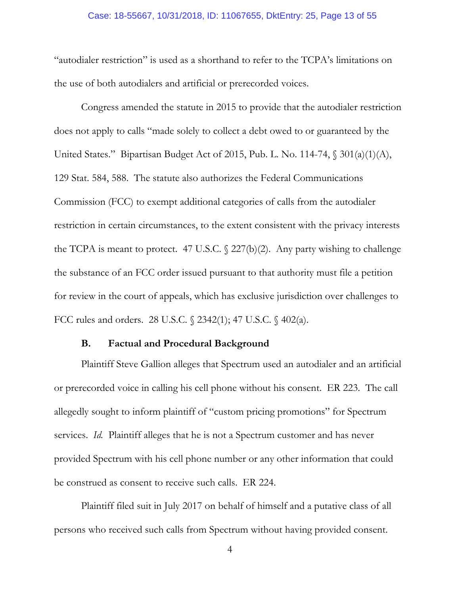### Case: 18-55667, 10/31/2018, ID: 11067655, DktEntry: 25, Page 13 of 55

"autodialer restriction" is used as a shorthand to refer to the TCPA's limitations on the use of both autodialers and artificial or prerecorded voices.

Congress amended the statute in 2015 to provide that the autodialer restriction does not apply to calls "made solely to collect a debt owed to or guaranteed by the United States." Bipartisan Budget Act of 2015, Pub. L. No. 114-74, § 301(a)(1)(A), 129 Stat. 584, 588. The statute also authorizes the Federal Communications Commission (FCC) to exempt additional categories of calls from the autodialer restriction in certain circumstances, to the extent consistent with the privacy interests the TCPA is meant to protect. 47 U.S.C. § 227(b)(2).Any party wishing to challenge the substance of an FCC order issued pursuant to that authority must file a petition for review in the court of appeals, which has exclusive jurisdiction over challenges to FCC rules and orders. 28 U.S.C. § 2342(1); 47 U.S.C. § 402(a).

### **B. Factual and Procedural Background**

Plaintiff Steve Gallion alleges that Spectrum used an autodialer and an artificial or prerecorded voice in calling his cell phone without his consent. ER 223. The call allegedly sought to inform plaintiff of "custom pricing promotions" for Spectrum services. *Id.* Plaintiff alleges that he is not a Spectrum customer and has never provided Spectrum with his cell phone number or any other information that could be construed as consent to receive such calls. ER 224.

Plaintiff filed suit in July 2017 on behalf of himself and a putative class of all persons who received such calls from Spectrum without having provided consent.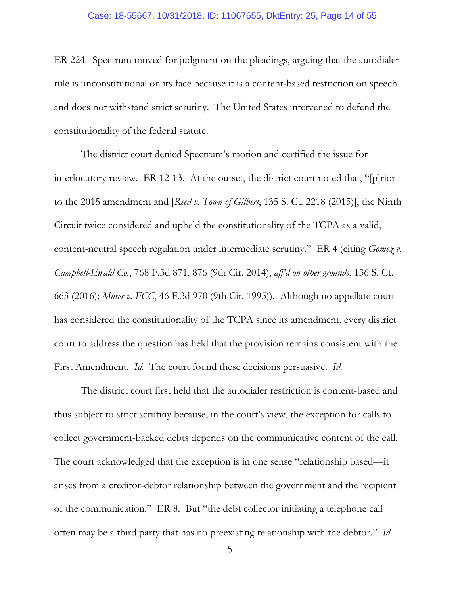#### Case: 18-55667, 10/31/2018, ID: 11067655, DktEntry: 25, Page 14 of 55

ER 224. Spectrum moved for judgment on the pleadings, arguing that the autodialer rule is unconstitutional on its face because it is a content-based restriction on speech and does not withstand strict scrutiny. The United States intervened to defend the constitutionality of the federal statute.

The district court denied Spectrum's motion and certified the issue for interlocutory review. ER 12-13. At the outset, the district court noted that, "[p]rior to the 2015 amendment and [*Reed v. Town of Gilbert*, 135 S. Ct. 2218 (2015)], the Ninth Circuit twice considered and upheld the constitutionality of the TCPA as a valid, content-neutral speech regulation under intermediate scrutiny." ER 4 (citing *Gomez v. Campbell-Ewald Co.*, 768 F.3d 871, 876 (9th Cir. 2014), *aff'd on other grounds*, 136 S. Ct. 663 (2016); *Moser v. FCC*, 46 F.3d 970 (9th Cir. 1995)). Although no appellate court has considered the constitutionality of the TCPA since its amendment, every district court to address the question has held that the provision remains consistent with the First Amendment. *Id.* The court found these decisions persuasive. *Id.* 

The district court first held that the autodialer restriction is content-based and thus subject to strict scrutiny because, in the court's view, the exception for calls to collect government-backed debts depends on the communicative content of the call. The court acknowledged that the exception is in one sense "relationship based—it arises from a creditor-debtor relationship between the government and the recipient of the communication." ER 8. But "the debt collector initiating a telephone call often may be a third party that has no preexisting relationship with the debtor." *Id.* 

<sup>5</sup>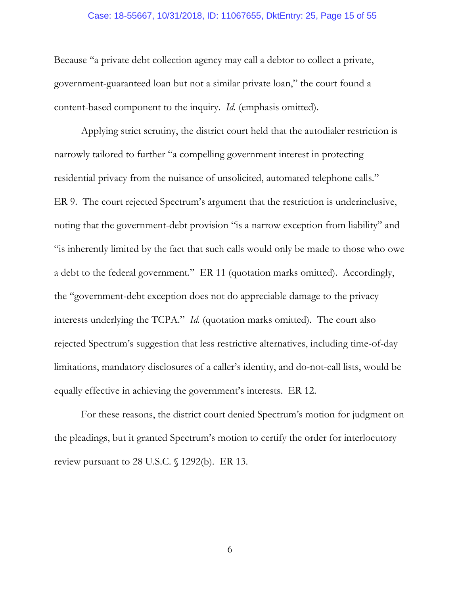#### Case: 18-55667, 10/31/2018, ID: 11067655, DktEntry: 25, Page 15 of 55

Because "a private debt collection agency may call a debtor to collect a private, government-guaranteed loan but not a similar private loan," the court found a content-based component to the inquiry. *Id.* (emphasis omitted).

Applying strict scrutiny, the district court held that the autodialer restriction is narrowly tailored to further "a compelling government interest in protecting residential privacy from the nuisance of unsolicited, automated telephone calls." ER 9. The court rejected Spectrum's argument that the restriction is underinclusive, noting that the government-debt provision "is a narrow exception from liability" and "is inherently limited by the fact that such calls would only be made to those who owe a debt to the federal government." ER 11 (quotation marks omitted). Accordingly, the "government-debt exception does not do appreciable damage to the privacy interests underlying the TCPA." *Id.* (quotation marks omitted). The court also rejected Spectrum's suggestion that less restrictive alternatives, including time-of-day limitations, mandatory disclosures of a caller's identity, and do-not-call lists, would be equally effective in achieving the government's interests. ER 12.

For these reasons, the district court denied Spectrum's motion for judgment on the pleadings, but it granted Spectrum's motion to certify the order for interlocutory review pursuant to 28 U.S.C. § 1292(b). ER 13.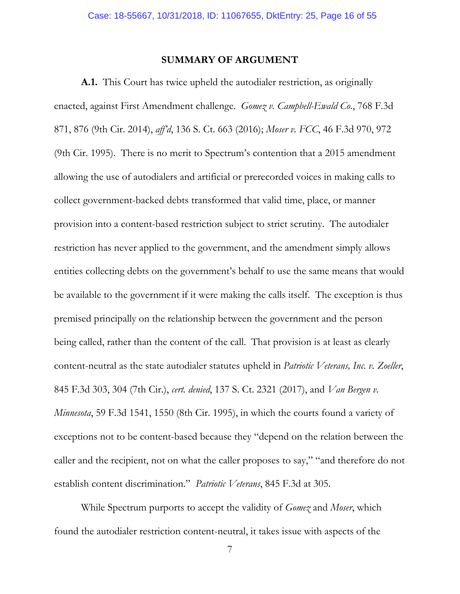### **SUMMARY OF ARGUMENT**

**A.1.** This Court has twice upheld the autodialer restriction, as originally enacted, against First Amendment challenge. *Gomez v. Campbell-Ewald Co.*, 768 F.3d 871, 876 (9th Cir. 2014), *aff'd*, 136 S. Ct. 663 (2016); *Moser v. FCC*, 46 F.3d 970, 972 (9th Cir. 1995). There is no merit to Spectrum's contention that a 2015 amendment allowing the use of autodialers and artificial or prerecorded voices in making calls to collect government-backed debts transformed that valid time, place, or manner provision into a content-based restriction subject to strict scrutiny. The autodialer restriction has never applied to the government, and the amendment simply allows entities collecting debts on the government's behalf to use the same means that would be available to the government if it were making the calls itself. The exception is thus premised principally on the relationship between the government and the person being called, rather than the content of the call. That provision is at least as clearly content-neutral as the state autodialer statutes upheld in *Patriotic Veterans, Inc. v. Zoeller*, 845 F.3d 303, 304 (7th Cir.), *cert. denied*, 137 S. Ct. 2321 (2017), and *Van Bergen v. Minnesota*, 59 F.3d 1541, 1550 (8th Cir. 1995), in which the courts found a variety of exceptions not to be content-based because they "depend on the relation between the caller and the recipient, not on what the caller proposes to say," "and therefore do not establish content discrimination." *Patriotic Veterans*, 845 F.3d at 305.

While Spectrum purports to accept the validity of *Gomez* and *Moser*, which found the autodialer restriction content-neutral, it takes issue with aspects of the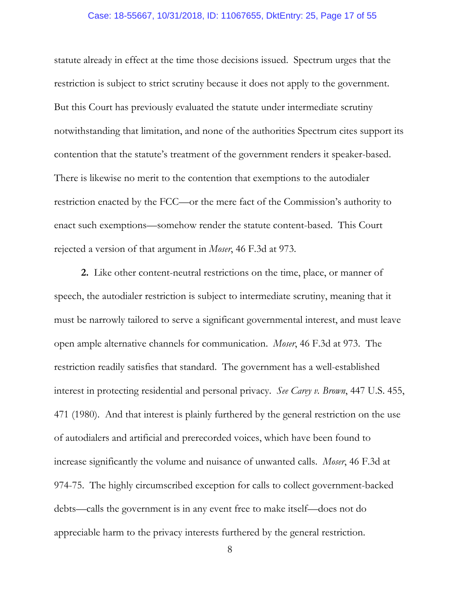### Case: 18-55667, 10/31/2018, ID: 11067655, DktEntry: 25, Page 17 of 55

statute already in effect at the time those decisions issued. Spectrum urges that the restriction is subject to strict scrutiny because it does not apply to the government. But this Court has previously evaluated the statute under intermediate scrutiny notwithstanding that limitation, and none of the authorities Spectrum cites support its contention that the statute's treatment of the government renders it speaker-based. There is likewise no merit to the contention that exemptions to the autodialer restriction enacted by the FCC—or the mere fact of the Commission's authority to enact such exemptions—somehow render the statute content-based. This Court rejected a version of that argument in *Moser*, 46 F.3d at 973.

**2.** Like other content-neutral restrictions on the time, place, or manner of speech, the autodialer restriction is subject to intermediate scrutiny, meaning that it must be narrowly tailored to serve a significant governmental interest, and must leave open ample alternative channels for communication. *Moser*, 46 F.3d at 973. The restriction readily satisfies that standard. The government has a well-established interest in protecting residential and personal privacy. *See Carey v. Brown*, 447 U.S. 455, 471 (1980). And that interest is plainly furthered by the general restriction on the use of autodialers and artificial and prerecorded voices, which have been found to increase significantly the volume and nuisance of unwanted calls. *Moser*, 46 F.3d at 974-75. The highly circumscribed exception for calls to collect government-backed debts—calls the government is in any event free to make itself—does not do appreciable harm to the privacy interests furthered by the general restriction.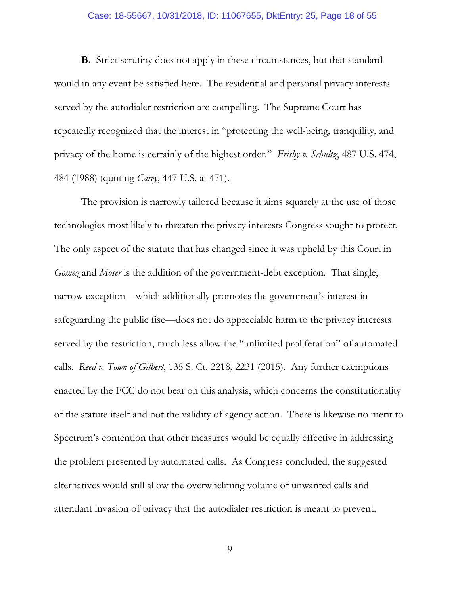#### Case: 18-55667, 10/31/2018, ID: 11067655, DktEntry: 25, Page 18 of 55

**B.** Strict scrutiny does not apply in these circumstances, but that standard would in any event be satisfied here. The residential and personal privacy interests served by the autodialer restriction are compelling. The Supreme Court has repeatedly recognized that the interest in "protecting the well-being, tranquility, and privacy of the home is certainly of the highest order." *Frisby v. Schultz*, 487 U.S. 474, 484 (1988) (quoting *Carey*, 447 U.S. at 471).

The provision is narrowly tailored because it aims squarely at the use of those technologies most likely to threaten the privacy interests Congress sought to protect. The only aspect of the statute that has changed since it was upheld by this Court in *Gomez* and *Moser* is the addition of the government-debt exception. That single, narrow exception—which additionally promotes the government's interest in safeguarding the public fisc—does not do appreciable harm to the privacy interests served by the restriction, much less allow the "unlimited proliferation" of automated calls. *Reed v. Town of Gilbert*, 135 S. Ct. 2218, 2231 (2015). Any further exemptions enacted by the FCC do not bear on this analysis, which concerns the constitutionality of the statute itself and not the validity of agency action. There is likewise no merit to Spectrum's contention that other measures would be equally effective in addressing the problem presented by automated calls. As Congress concluded, the suggested alternatives would still allow the overwhelming volume of unwanted calls and attendant invasion of privacy that the autodialer restriction is meant to prevent.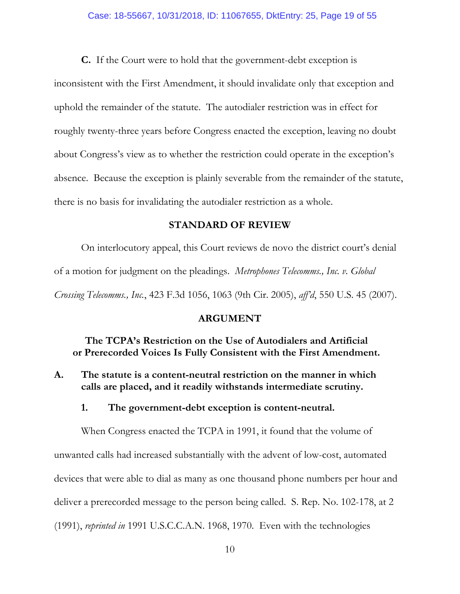**C.** If the Court were to hold that the government-debt exception is inconsistent with the First Amendment, it should invalidate only that exception and uphold the remainder of the statute. The autodialer restriction was in effect for roughly twenty-three years before Congress enacted the exception, leaving no doubt about Congress's view as to whether the restriction could operate in the exception's absence. Because the exception is plainly severable from the remainder of the statute, there is no basis for invalidating the autodialer restriction as a whole.

### **STANDARD OF REVIEW**

On interlocutory appeal, this Court reviews de novo the district court's denial of a motion for judgment on the pleadings. *Metrophones Telecomms., Inc. v. Global Crossing Telecomms., Inc.*, 423 F.3d 1056, 1063 (9th Cir. 2005), *aff'd*, 550 U.S. 45 (2007).

### **ARGUMENT**

**The TCPA's Restriction on the Use of Autodialers and Artificial or Prerecorded Voices Is Fully Consistent with the First Amendment.** 

**A. The statute is a content-neutral restriction on the manner in which calls are placed, and it readily withstands intermediate scrutiny.** 

**1. The government-debt exception is content-neutral.** 

When Congress enacted the TCPA in 1991, it found that the volume of unwanted calls had increased substantially with the advent of low-cost, automated devices that were able to dial as many as one thousand phone numbers per hour and deliver a prerecorded message to the person being called. S. Rep. No. 102-178, at 2 (1991), *reprinted in* 1991 U.S.C.C.A.N. 1968, 1970. Even with the technologies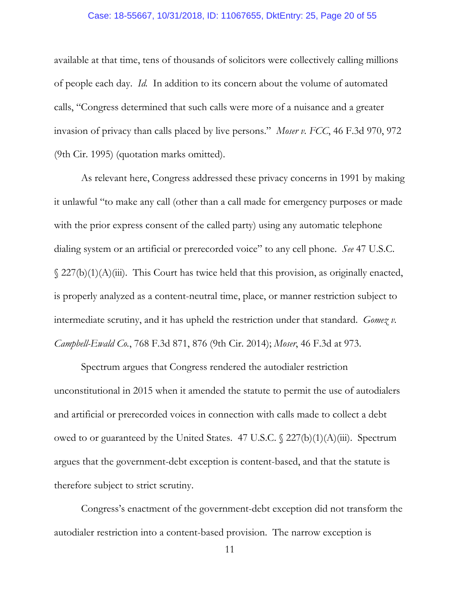### Case: 18-55667, 10/31/2018, ID: 11067655, DktEntry: 25, Page 20 of 55

available at that time, tens of thousands of solicitors were collectively calling millions of people each day. *Id.* In addition to its concern about the volume of automated calls, "Congress determined that such calls were more of a nuisance and a greater invasion of privacy than calls placed by live persons." *Moser v. FCC*, 46 F.3d 970, 972 (9th Cir. 1995) (quotation marks omitted).

As relevant here, Congress addressed these privacy concerns in 1991 by making it unlawful "to make any call (other than a call made for emergency purposes or made with the prior express consent of the called party) using any automatic telephone dialing system or an artificial or prerecorded voice" to any cell phone. *See* 47 U.S.C. § 227(b)(1)(A)(iii). This Court has twice held that this provision, as originally enacted, is properly analyzed as a content-neutral time, place, or manner restriction subject to intermediate scrutiny, and it has upheld the restriction under that standard. *Gomez v. Campbell-Ewald Co.*, 768 F.3d 871, 876 (9th Cir. 2014); *Moser*, 46 F.3d at 973.

Spectrum argues that Congress rendered the autodialer restriction unconstitutional in 2015 when it amended the statute to permit the use of autodialers and artificial or prerecorded voices in connection with calls made to collect a debt owed to or guaranteed by the United States. 47 U.S.C. § 227(b)(1)(A)(iii). Spectrum argues that the government-debt exception is content-based, and that the statute is therefore subject to strict scrutiny.

Congress's enactment of the government-debt exception did not transform the autodialer restriction into a content-based provision. The narrow exception is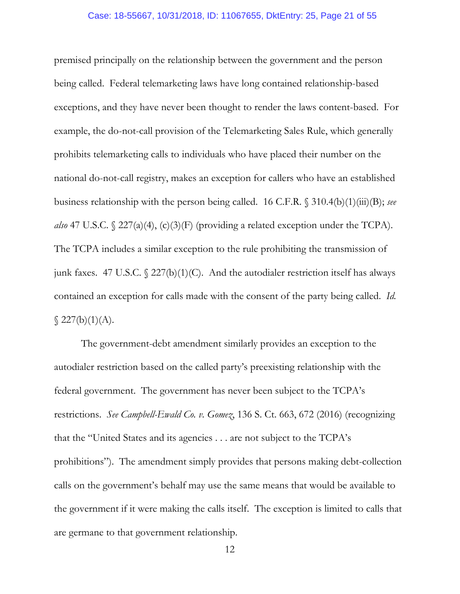#### Case: 18-55667, 10/31/2018, ID: 11067655, DktEntry: 25, Page 21 of 55

premised principally on the relationship between the government and the person being called. Federal telemarketing laws have long contained relationship-based exceptions, and they have never been thought to render the laws content-based. For example, the do-not-call provision of the Telemarketing Sales Rule, which generally prohibits telemarketing calls to individuals who have placed their number on the national do-not-call registry, makes an exception for callers who have an established business relationship with the person being called. 16 C.F.R. § 310.4(b)(1)(iii)(B); *see also* 47 U.S.C. § 227(a)(4), (c)(3)(F) (providing a related exception under the TCPA). The TCPA includes a similar exception to the rule prohibiting the transmission of junk faxes. 47 U.S.C.  $\frac{227(b)(1)(C)}{2}$ . And the autodialer restriction itself has always contained an exception for calls made with the consent of the party being called. *Id.*   $$227(b)(1)(A).$ 

The government-debt amendment similarly provides an exception to the autodialer restriction based on the called party's preexisting relationship with the federal government. The government has never been subject to the TCPA's restrictions. *See Campbell-Ewald Co. v. Gomez*, 136 S. Ct. 663, 672 (2016) (recognizing that the "United States and its agencies . . . are not subject to the TCPA's prohibitions"). The amendment simply provides that persons making debt-collection calls on the government's behalf may use the same means that would be available to the government if it were making the calls itself. The exception is limited to calls that are germane to that government relationship.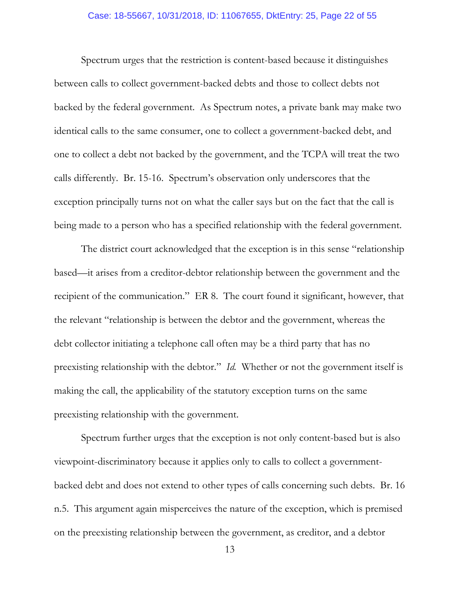### Case: 18-55667, 10/31/2018, ID: 11067655, DktEntry: 25, Page 22 of 55

Spectrum urges that the restriction is content-based because it distinguishes between calls to collect government-backed debts and those to collect debts not backed by the federal government. As Spectrum notes, a private bank may make two identical calls to the same consumer, one to collect a government-backed debt, and one to collect a debt not backed by the government, and the TCPA will treat the two calls differently. Br. 15-16. Spectrum's observation only underscores that the exception principally turns not on what the caller says but on the fact that the call is being made to a person who has a specified relationship with the federal government.

The district court acknowledged that the exception is in this sense "relationship based—it arises from a creditor-debtor relationship between the government and the recipient of the communication." ER 8. The court found it significant, however, that the relevant "relationship is between the debtor and the government, whereas the debt collector initiating a telephone call often may be a third party that has no preexisting relationship with the debtor." *Id.* Whether or not the government itself is making the call, the applicability of the statutory exception turns on the same preexisting relationship with the government.

Spectrum further urges that the exception is not only content-based but is also viewpoint-discriminatory because it applies only to calls to collect a governmentbacked debt and does not extend to other types of calls concerning such debts. Br. 16 n.5. This argument again misperceives the nature of the exception, which is premised on the preexisting relationship between the government, as creditor, and a debtor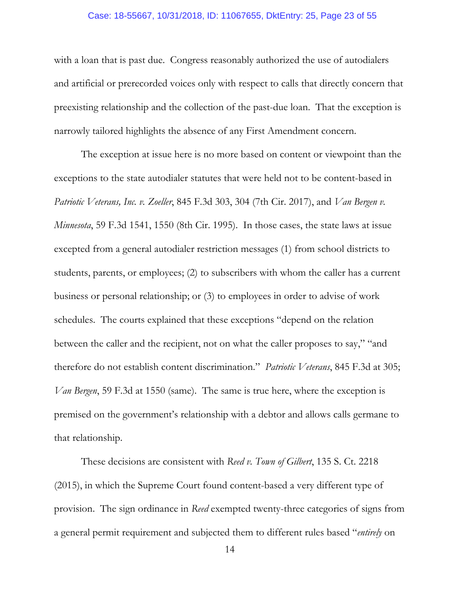### Case: 18-55667, 10/31/2018, ID: 11067655, DktEntry: 25, Page 23 of 55

with a loan that is past due. Congress reasonably authorized the use of autodialers and artificial or prerecorded voices only with respect to calls that directly concern that preexisting relationship and the collection of the past-due loan. That the exception is narrowly tailored highlights the absence of any First Amendment concern.

 The exception at issue here is no more based on content or viewpoint than the exceptions to the state autodialer statutes that were held not to be content-based in *Patriotic Veterans, Inc. v. Zoeller*, 845 F.3d 303, 304 (7th Cir. 2017), and *Van Bergen v. Minnesota*, 59 F.3d 1541, 1550 (8th Cir. 1995). In those cases, the state laws at issue excepted from a general autodialer restriction messages (1) from school districts to students, parents, or employees; (2) to subscribers with whom the caller has a current business or personal relationship; or (3) to employees in order to advise of work schedules. The courts explained that these exceptions "depend on the relation between the caller and the recipient, not on what the caller proposes to say," "and therefore do not establish content discrimination." *Patriotic Veterans*, 845 F.3d at 305; *Van Bergen*, 59 F.3d at 1550 (same). The same is true here, where the exception is premised on the government's relationship with a debtor and allows calls germane to that relationship.

These decisions are consistent with *Reed v. Town of Gilbert*, 135 S. Ct. 2218 (2015), in which the Supreme Court found content-based a very different type of provision. The sign ordinance in *Reed* exempted twenty-three categories of signs from a general permit requirement and subjected them to different rules based "*entirely* on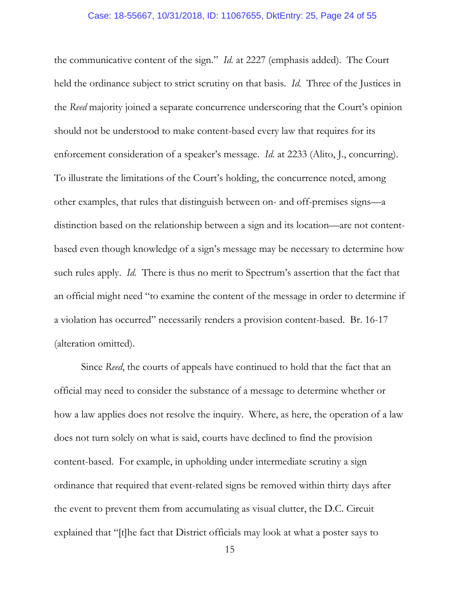### Case: 18-55667, 10/31/2018, ID: 11067655, DktEntry: 25, Page 24 of 55

the communicative content of the sign." *Id.* at 2227 (emphasis added). The Court held the ordinance subject to strict scrutiny on that basis. *Id.* Three of the Justices in the *Reed* majority joined a separate concurrence underscoring that the Court's opinion should not be understood to make content-based every law that requires for its enforcement consideration of a speaker's message. *Id.* at 2233 (Alito, J., concurring). To illustrate the limitations of the Court's holding, the concurrence noted, among other examples, that rules that distinguish between on- and off-premises signs—a distinction based on the relationship between a sign and its location—are not contentbased even though knowledge of a sign's message may be necessary to determine how such rules apply. *Id.* There is thus no merit to Spectrum's assertion that the fact that an official might need "to examine the content of the message in order to determine if a violation has occurred" necessarily renders a provision content-based. Br. 16-17 (alteration omitted).

 Since *Reed*, the courts of appeals have continued to hold that the fact that an official may need to consider the substance of a message to determine whether or how a law applies does not resolve the inquiry. Where, as here, the operation of a law does not turn solely on what is said, courts have declined to find the provision content-based. For example, in upholding under intermediate scrutiny a sign ordinance that required that event-related signs be removed within thirty days after the event to prevent them from accumulating as visual clutter, the D.C. Circuit explained that "[t]he fact that District officials may look at what a poster says to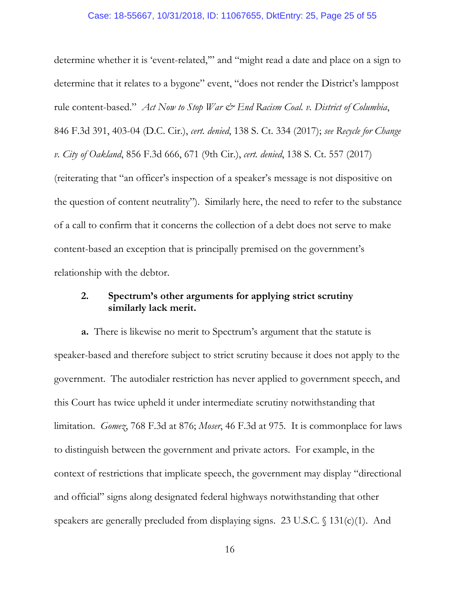### Case: 18-55667, 10/31/2018, ID: 11067655, DktEntry: 25, Page 25 of 55

determine whether it is 'event-related,'" and "might read a date and place on a sign to determine that it relates to a bygone" event, "does not render the District's lamppost rule content-based." *Act Now to Stop War & End Racism Coal. v. District of Columbia*, 846 F.3d 391, 403-04 (D.C. Cir.), *cert. denied*, 138 S. Ct. 334 (2017); *see Recycle for Change v. City of Oakland*, 856 F.3d 666, 671 (9th Cir.), *cert. denied*, 138 S. Ct. 557 (2017) (reiterating that "an officer's inspection of a speaker's message is not dispositive on the question of content neutrality"). Similarly here, the need to refer to the substance of a call to confirm that it concerns the collection of a debt does not serve to make content-based an exception that is principally premised on the government's relationship with the debtor.

### **2. Spectrum's other arguments for applying strict scrutiny similarly lack merit.**

**a.** There is likewise no merit to Spectrum's argument that the statute is speaker-based and therefore subject to strict scrutiny because it does not apply to the government. The autodialer restriction has never applied to government speech, and this Court has twice upheld it under intermediate scrutiny notwithstanding that limitation. *Gomez*, 768 F.3d at 876; *Moser*, 46 F.3d at 975. It is commonplace for laws to distinguish between the government and private actors. For example, in the context of restrictions that implicate speech, the government may display "directional and official" signs along designated federal highways notwithstanding that other speakers are generally precluded from displaying signs. 23 U.S.C. § 131(c)(1). And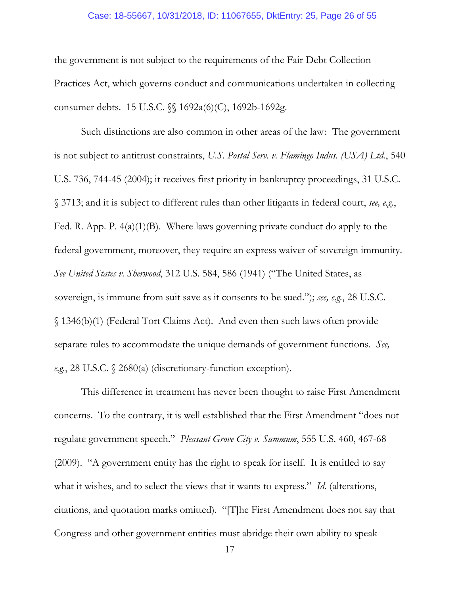### Case: 18-55667, 10/31/2018, ID: 11067655, DktEntry: 25, Page 26 of 55

the government is not subject to the requirements of the Fair Debt Collection Practices Act, which governs conduct and communications undertaken in collecting consumer debts. 15 U.S.C. §§ 1692a(6)(C), 1692b-1692g.

Such distinctions are also common in other areas of the law: The government is not subject to antitrust constraints, *U.S. Postal Serv. v. Flamingo Indus. (USA) Ltd.*, 540 U.S. 736, 744-45 (2004); it receives first priority in bankruptcy proceedings, 31 U.S.C. § 3713; and it is subject to different rules than other litigants in federal court, *see, e.g.*, Fed. R. App. P. 4(a)(1)(B).Where laws governing private conduct do apply to the federal government, moreover, they require an express waiver of sovereign immunity. *See United States v. Sherwood*, 312 U.S. 584, 586 (1941) ("The United States, as sovereign, is immune from suit save as it consents to be sued."); *see, e.g.*, 28 U.S.C. § 1346(b)(1) (Federal Tort Claims Act).And even then such laws often provide separate rules to accommodate the unique demands of government functions. *See, e.g.*, 28 U.S.C. § 2680(a) (discretionary-function exception).

This difference in treatment has never been thought to raise First Amendment concerns. To the contrary, it is well established that the First Amendment "does not regulate government speech." *Pleasant Grove City v. Summum*, 555 U.S. 460, 467-68 (2009). "A government entity has the right to speak for itself. It is entitled to say what it wishes, and to select the views that it wants to express." *Id.* (alterations, citations, and quotation marks omitted). "[T]he First Amendment does not say that Congress and other government entities must abridge their own ability to speak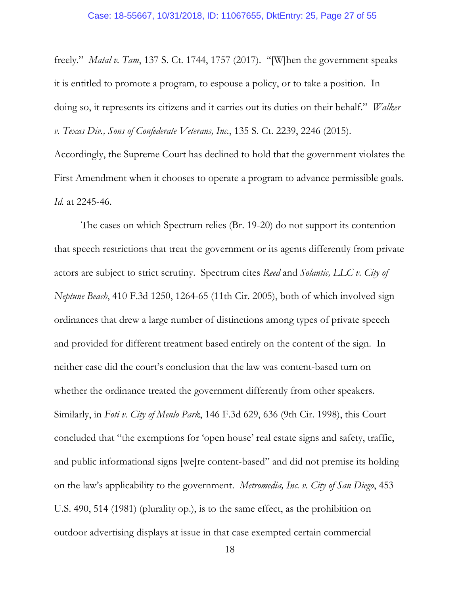#### Case: 18-55667, 10/31/2018, ID: 11067655, DktEntry: 25, Page 27 of 55

freely." *Matal v. Tam*, 137 S. Ct. 1744, 1757 (2017). "[W]hen the government speaks it is entitled to promote a program, to espouse a policy, or to take a position. In doing so, it represents its citizens and it carries out its duties on their behalf." *Walker v. Texas Div., Sons of Confederate Veterans, Inc.*, 135 S. Ct. 2239, 2246 (2015).

Accordingly, the Supreme Court has declined to hold that the government violates the First Amendment when it chooses to operate a program to advance permissible goals. *Id.* at 2245-46.

The cases on which Spectrum relies (Br. 19-20) do not support its contention that speech restrictions that treat the government or its agents differently from private actors are subject to strict scrutiny. Spectrum cites *Reed* and *Solantic, LLC v. City of Neptune Beach*, 410 F.3d 1250, 1264-65 (11th Cir. 2005), both of which involved sign ordinances that drew a large number of distinctions among types of private speech and provided for different treatment based entirely on the content of the sign. In neither case did the court's conclusion that the law was content-based turn on whether the ordinance treated the government differently from other speakers. Similarly, in *Foti v. City of Menlo Park*, 146 F.3d 629, 636 (9th Cir. 1998), this Court concluded that "the exemptions for 'open house' real estate signs and safety, traffic, and public informational signs [we]re content-based" and did not premise its holding on the law's applicability to the government. *Metromedia, Inc. v. City of San Diego*, 453 U.S. 490, 514 (1981) (plurality op.), is to the same effect, as the prohibition on outdoor advertising displays at issue in that case exempted certain commercial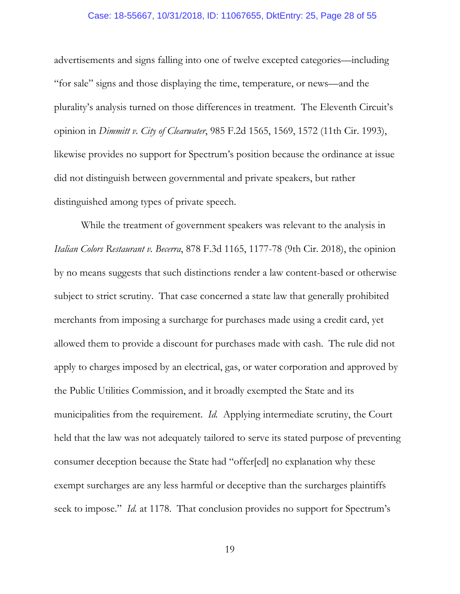### Case: 18-55667, 10/31/2018, ID: 11067655, DktEntry: 25, Page 28 of 55

advertisements and signs falling into one of twelve excepted categories—including "for sale" signs and those displaying the time, temperature, or news—and the plurality's analysis turned on those differences in treatment. The Eleventh Circuit's opinion in *Dimmitt v. City of Clearwater*, 985 F.2d 1565, 1569, 1572 (11th Cir. 1993), likewise provides no support for Spectrum's position because the ordinance at issue did not distinguish between governmental and private speakers, but rather distinguished among types of private speech.

While the treatment of government speakers was relevant to the analysis in *Italian Colors Restaurant v. Becerra*, 878 F.3d 1165, 1177-78 (9th Cir. 2018), the opinion by no means suggests that such distinctions render a law content-based or otherwise subject to strict scrutiny. That case concerned a state law that generally prohibited merchants from imposing a surcharge for purchases made using a credit card, yet allowed them to provide a discount for purchases made with cash. The rule did not apply to charges imposed by an electrical, gas, or water corporation and approved by the Public Utilities Commission, and it broadly exempted the State and its municipalities from the requirement. *Id.* Applying intermediate scrutiny, the Court held that the law was not adequately tailored to serve its stated purpose of preventing consumer deception because the State had "offer[ed] no explanation why these exempt surcharges are any less harmful or deceptive than the surcharges plaintiffs seek to impose." *Id.* at 1178. That conclusion provides no support for Spectrum's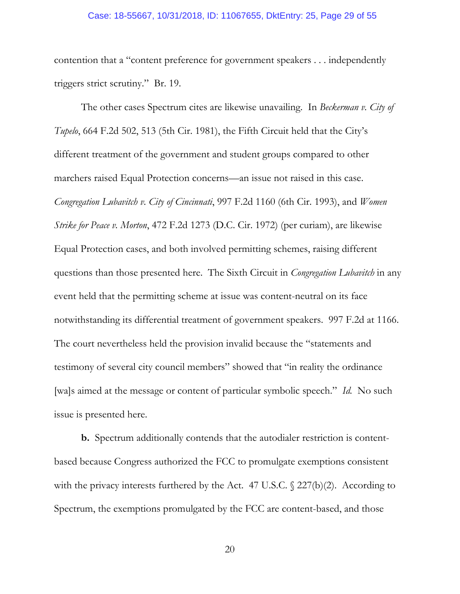#### Case: 18-55667, 10/31/2018, ID: 11067655, DktEntry: 25, Page 29 of 55

contention that a "content preference for government speakers . . . independently triggers strict scrutiny." Br. 19.

The other cases Spectrum cites are likewise unavailing. In *Beckerman v. City of Tupelo*, 664 F.2d 502, 513 (5th Cir. 1981), the Fifth Circuit held that the City's different treatment of the government and student groups compared to other marchers raised Equal Protection concerns—an issue not raised in this case. *Congregation Lubavitch v. City of Cincinnati*, 997 F.2d 1160 (6th Cir. 1993), and *Women Strike for Peace v. Morton*, 472 F.2d 1273 (D.C. Cir. 1972) (per curiam), are likewise Equal Protection cases, and both involved permitting schemes, raising different questions than those presented here. The Sixth Circuit in *Congregation Lubavitch* in any event held that the permitting scheme at issue was content-neutral on its face notwithstanding its differential treatment of government speakers. 997 F.2d at 1166. The court nevertheless held the provision invalid because the "statements and testimony of several city council members" showed that "in reality the ordinance [wa]s aimed at the message or content of particular symbolic speech." *Id.* No such issue is presented here.

**b.** Spectrum additionally contends that the autodialer restriction is contentbased because Congress authorized the FCC to promulgate exemptions consistent with the privacy interests furthered by the Act. 47 U.S.C.  $\sqrt{227(b)(2)}$ . According to Spectrum, the exemptions promulgated by the FCC are content-based, and those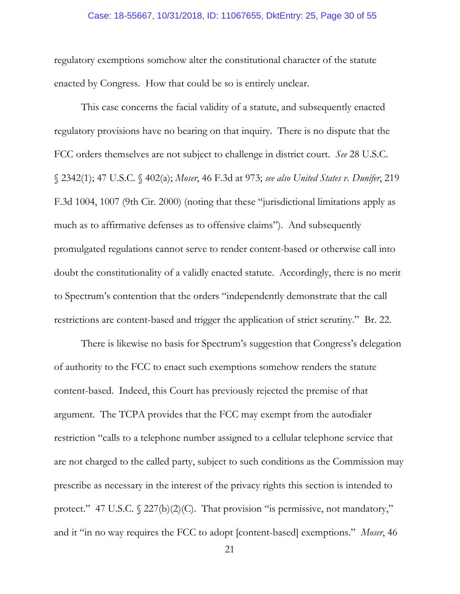### Case: 18-55667, 10/31/2018, ID: 11067655, DktEntry: 25, Page 30 of 55

regulatory exemptions somehow alter the constitutional character of the statute enacted by Congress. How that could be so is entirely unclear.

This case concerns the facial validity of a statute, and subsequently enacted regulatory provisions have no bearing on that inquiry. There is no dispute that the FCC orders themselves are not subject to challenge in district court. *See* 28 U.S.C. § 2342(1); 47 U.S.C. § 402(a); *Moser*, 46 F.3d at 973; *see also United States v. Dunifer*, 219 F.3d 1004, 1007 (9th Cir. 2000) (noting that these "jurisdictional limitations apply as much as to affirmative defenses as to offensive claims"). And subsequently promulgated regulations cannot serve to render content-based or otherwise call into doubt the constitutionality of a validly enacted statute. Accordingly, there is no merit to Spectrum's contention that the orders "independently demonstrate that the call restrictions are content-based and trigger the application of strict scrutiny." Br. 22.

There is likewise no basis for Spectrum's suggestion that Congress's delegation of authority to the FCC to enact such exemptions somehow renders the statute content-based. Indeed, this Court has previously rejected the premise of that argument. The TCPA provides that the FCC may exempt from the autodialer restriction "calls to a telephone number assigned to a cellular telephone service that are not charged to the called party, subject to such conditions as the Commission may prescribe as necessary in the interest of the privacy rights this section is intended to protect." 47 U.S.C. § 227(b)(2)(C). That provision "is permissive, not mandatory," and it "in no way requires the FCC to adopt [content-based] exemptions." *Moser*, 46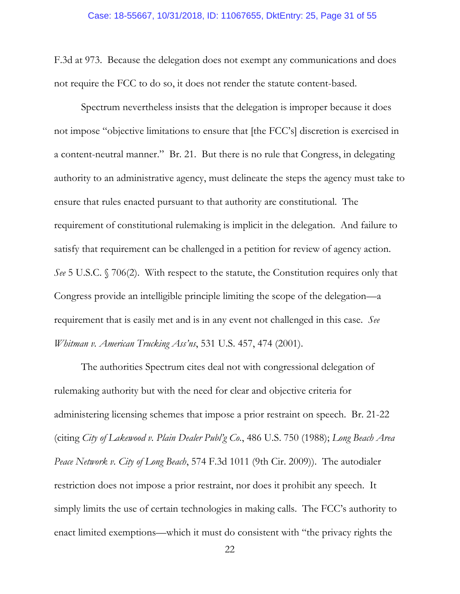#### Case: 18-55667, 10/31/2018, ID: 11067655, DktEntry: 25, Page 31 of 55

F.3d at 973. Because the delegation does not exempt any communications and does not require the FCC to do so, it does not render the statute content-based.

 Spectrum nevertheless insists that the delegation is improper because it does not impose "objective limitations to ensure that [the FCC's] discretion is exercised in a content-neutral manner." Br. 21. But there is no rule that Congress, in delegating authority to an administrative agency, must delineate the steps the agency must take to ensure that rules enacted pursuant to that authority are constitutional. The requirement of constitutional rulemaking is implicit in the delegation. And failure to satisfy that requirement can be challenged in a petition for review of agency action. *See* 5 U.S.C. § 706(2). With respect to the statute, the Constitution requires only that Congress provide an intelligible principle limiting the scope of the delegation—a requirement that is easily met and is in any event not challenged in this case. *See Whitman v. American Trucking Ass'ns*, 531 U.S. 457, 474 (2001).

The authorities Spectrum cites deal not with congressional delegation of rulemaking authority but with the need for clear and objective criteria for administering licensing schemes that impose a prior restraint on speech. Br. 21-22 (citing *City of Lakewood v. Plain Dealer Publ'g Co.*, 486 U.S. 750 (1988); *Long Beach Area Peace Network v. City of Long Beach*, 574 F.3d 1011 (9th Cir. 2009)). The autodialer restriction does not impose a prior restraint, nor does it prohibit any speech. It simply limits the use of certain technologies in making calls. The FCC's authority to enact limited exemptions—which it must do consistent with "the privacy rights the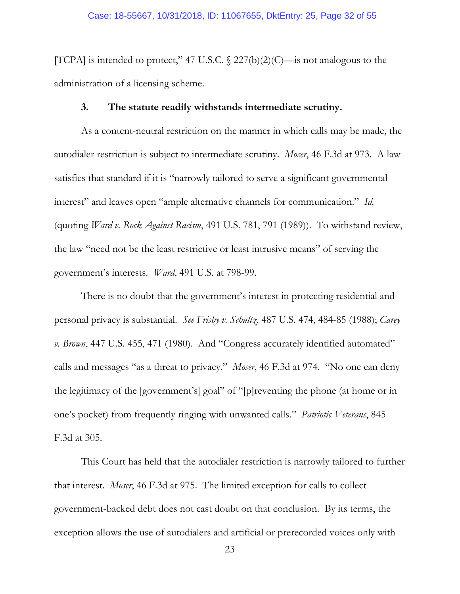[TCPA] is intended to protect," 47 U.S.C.  $\frac{227(b)(2)(C)}{2}$  is not analogous to the administration of a licensing scheme.

### **3. The statute readily withstands intermediate scrutiny.**

 As a content-neutral restriction on the manner in which calls may be made, the autodialer restriction is subject to intermediate scrutiny. *Moser*, 46 F.3d at 973. A law satisfies that standard if it is "narrowly tailored to serve a significant governmental interest" and leaves open "ample alternative channels for communication." *Id.*  (quoting *Ward v. Rock Against Racism*, 491 U.S. 781, 791 (1989)). To withstand review, the law "need not be the least restrictive or least intrusive means" of serving the government's interests. *Ward*, 491 U.S. at 798-99.

 There is no doubt that the government's interest in protecting residential and personal privacy is substantial. *See Frisby v. Schultz*, 487 U.S. 474, 484-85 (1988); *Carey v. Brown*, 447 U.S. 455, 471 (1980). And "Congress accurately identified automated" calls and messages "as a threat to privacy." *Moser*, 46 F.3d at 974. "No one can deny the legitimacy of the [government's] goal" of "[p]reventing the phone (at home or in one's pocket) from frequently ringing with unwanted calls." *Patriotic Veterans*, 845 F.3d at 305.

 This Court has held that the autodialer restriction is narrowly tailored to further that interest. *Moser*, 46 F.3d at 975. The limited exception for calls to collect government-backed debt does not cast doubt on that conclusion. By its terms, the exception allows the use of autodialers and artificial or prerecorded voices only with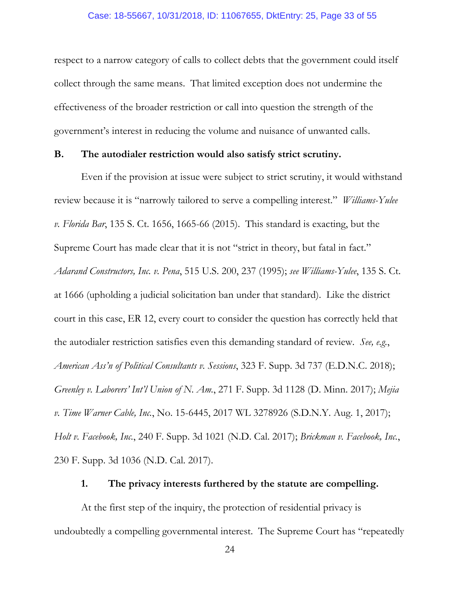respect to a narrow category of calls to collect debts that the government could itself collect through the same means. That limited exception does not undermine the effectiveness of the broader restriction or call into question the strength of the government's interest in reducing the volume and nuisance of unwanted calls.

### **B. The autodialer restriction would also satisfy strict scrutiny.**

Even if the provision at issue were subject to strict scrutiny, it would withstand review because it is "narrowly tailored to serve a compelling interest." *Williams-Yulee v. Florida Bar*, 135 S. Ct. 1656, 1665-66 (2015). This standard is exacting, but the Supreme Court has made clear that it is not "strict in theory, but fatal in fact." *Adarand Constructors, Inc. v. Pena*, 515 U.S. 200, 237 (1995); *see Williams-Yulee*, 135 S. Ct. at 1666 (upholding a judicial solicitation ban under that standard). Like the district court in this case, ER 12, every court to consider the question has correctly held that the autodialer restriction satisfies even this demanding standard of review. *See, e.g.*, *American Ass'n of Political Consultants v. Sessions*, 323 F. Supp. 3d 737 (E.D.N.C. 2018); *Greenley v. Laborers' Int'l Union of N. Am.*, 271 F. Supp. 3d 1128 (D. Minn. 2017); *Mejia v. Time Warner Cable, Inc.*, No. 15-6445, 2017 WL 3278926 (S.D.N.Y. Aug. 1, 2017); *Holt v. Facebook, Inc.*, 240 F. Supp. 3d 1021 (N.D. Cal. 2017); *Brickman v. Facebook, Inc.*, 230 F. Supp. 3d 1036 (N.D. Cal. 2017).

### **1. The privacy interests furthered by the statute are compelling.**

At the first step of the inquiry, the protection of residential privacy is undoubtedly a compelling governmental interest. The Supreme Court has "repeatedly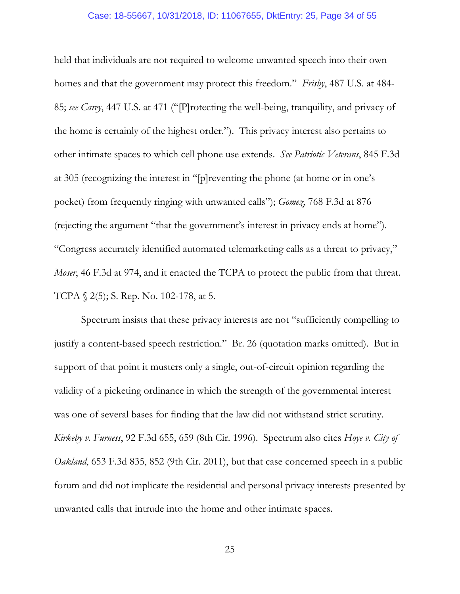### Case: 18-55667, 10/31/2018, ID: 11067655, DktEntry: 25, Page 34 of 55

held that individuals are not required to welcome unwanted speech into their own homes and that the government may protect this freedom." *Frisby*, 487 U.S. at 484- 85; *see Carey*, 447 U.S. at 471 ("[P]rotecting the well-being, tranquility, and privacy of the home is certainly of the highest order."). This privacy interest also pertains to other intimate spaces to which cell phone use extends. *See Patriotic Veterans*, 845 F.3d at 305 (recognizing the interest in "[p]reventing the phone (at home or in one's pocket) from frequently ringing with unwanted calls"); *Gomez*, 768 F.3d at 876 (rejecting the argument "that the government's interest in privacy ends at home"). "Congress accurately identified automated telemarketing calls as a threat to privacy," *Moser*, 46 F.3d at 974, and it enacted the TCPA to protect the public from that threat. TCPA § 2(5); S. Rep. No. 102-178, at 5.

Spectrum insists that these privacy interests are not "sufficiently compelling to justify a content-based speech restriction." Br. 26 (quotation marks omitted). But in support of that point it musters only a single, out-of-circuit opinion regarding the validity of a picketing ordinance in which the strength of the governmental interest was one of several bases for finding that the law did not withstand strict scrutiny. *Kirkeby v. Furness*, 92 F.3d 655, 659 (8th Cir. 1996). Spectrum also cites *Hoye v. City of Oakland*, 653 F.3d 835, 852 (9th Cir. 2011), but that case concerned speech in a public forum and did not implicate the residential and personal privacy interests presented by unwanted calls that intrude into the home and other intimate spaces.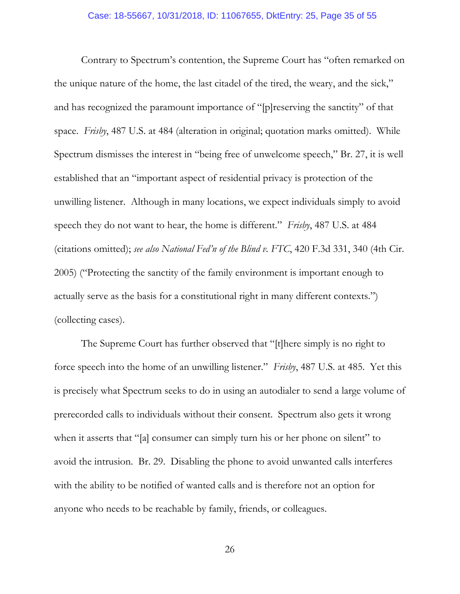Contrary to Spectrum's contention, the Supreme Court has "often remarked on the unique nature of the home, the last citadel of the tired, the weary, and the sick," and has recognized the paramount importance of "[p]reserving the sanctity" of that space. *Frisby*, 487 U.S. at 484 (alteration in original; quotation marks omitted). While Spectrum dismisses the interest in "being free of unwelcome speech," Br. 27, it is well established that an "important aspect of residential privacy is protection of the unwilling listener. Although in many locations, we expect individuals simply to avoid speech they do not want to hear, the home is different." *Frisby*, 487 U.S. at 484 (citations omitted); *see also National Fed'n of the Blind v. FTC*, 420 F.3d 331, 340 (4th Cir. 2005) ("Protecting the sanctity of the family environment is important enough to actually serve as the basis for a constitutional right in many different contexts.") (collecting cases).

The Supreme Court has further observed that "[t]here simply is no right to force speech into the home of an unwilling listener." *Frisby*, 487 U.S*.* at 485. Yet this is precisely what Spectrum seeks to do in using an autodialer to send a large volume of prerecorded calls to individuals without their consent. Spectrum also gets it wrong when it asserts that "[a] consumer can simply turn his or her phone on silent" to avoid the intrusion. Br. 29. Disabling the phone to avoid unwanted calls interferes with the ability to be notified of wanted calls and is therefore not an option for anyone who needs to be reachable by family, friends, or colleagues.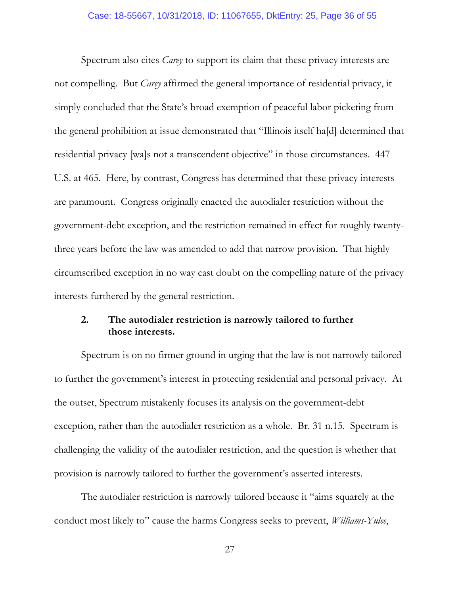Spectrum also cites *Carey* to support its claim that these privacy interests are not compelling. But *Carey* affirmed the general importance of residential privacy, it simply concluded that the State's broad exemption of peaceful labor picketing from the general prohibition at issue demonstrated that "Illinois itself ha[d] determined that residential privacy [wa]s not a transcendent objective" in those circumstances. 447 U.S. at 465. Here, by contrast, Congress has determined that these privacy interests are paramount. Congress originally enacted the autodialer restriction without the government-debt exception, and the restriction remained in effect for roughly twentythree years before the law was amended to add that narrow provision. That highly circumscribed exception in no way cast doubt on the compelling nature of the privacy interests furthered by the general restriction.

### **2. The autodialer restriction is narrowly tailored to further those interests.**

Spectrum is on no firmer ground in urging that the law is not narrowly tailored to further the government's interest in protecting residential and personal privacy. At the outset, Spectrum mistakenly focuses its analysis on the government-debt exception, rather than the autodialer restriction as a whole. Br. 31 n.15. Spectrum is challenging the validity of the autodialer restriction, and the question is whether that provision is narrowly tailored to further the government's asserted interests.

The autodialer restriction is narrowly tailored because it "aims squarely at the conduct most likely to" cause the harms Congress seeks to prevent, *Williams-Yulee*,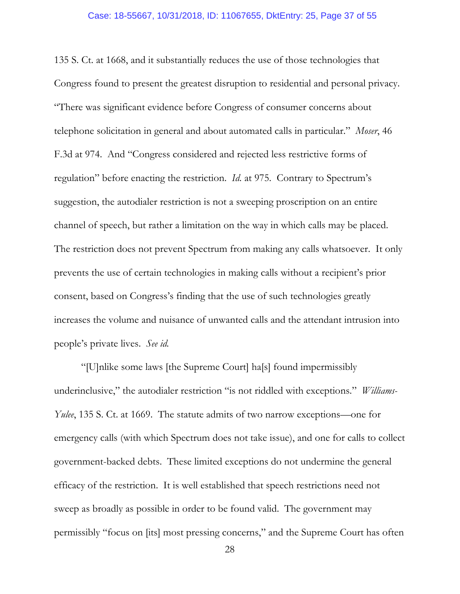### Case: 18-55667, 10/31/2018, ID: 11067655, DktEntry: 25, Page 37 of 55

135 S. Ct. at 1668, and it substantially reduces the use of those technologies that Congress found to present the greatest disruption to residential and personal privacy. "There was significant evidence before Congress of consumer concerns about telephone solicitation in general and about automated calls in particular." *Moser*, 46 F.3d at 974. And "Congress considered and rejected less restrictive forms of regulation" before enacting the restriction. *Id.* at 975.Contrary to Spectrum's suggestion, the autodialer restriction is not a sweeping proscription on an entire channel of speech, but rather a limitation on the way in which calls may be placed. The restriction does not prevent Spectrum from making any calls whatsoever. It only prevents the use of certain technologies in making calls without a recipient's prior consent, based on Congress's finding that the use of such technologies greatly increases the volume and nuisance of unwanted calls and the attendant intrusion into people's private lives. *See id.* 

"[U]nlike some laws [the Supreme Court] ha[s] found impermissibly underinclusive," the autodialer restriction "is not riddled with exceptions." *Williams-Yulee*, 135 S. Ct. at 1669. The statute admits of two narrow exceptions—one for emergency calls (with which Spectrum does not take issue), and one for calls to collect government-backed debts. These limited exceptions do not undermine the general efficacy of the restriction. It is well established that speech restrictions need not sweep as broadly as possible in order to be found valid. The government may permissibly "focus on [its] most pressing concerns," and the Supreme Court has often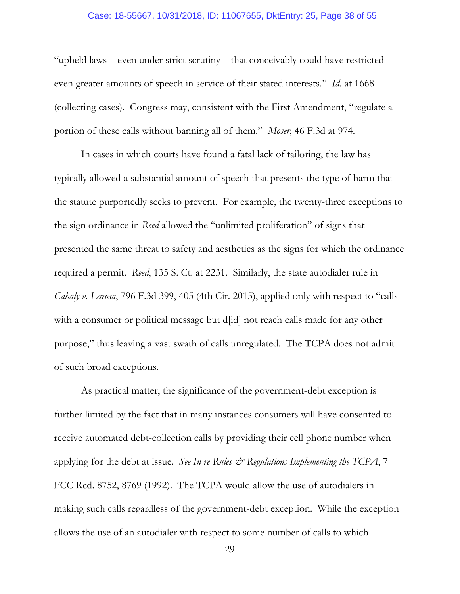### Case: 18-55667, 10/31/2018, ID: 11067655, DktEntry: 25, Page 38 of 55

"upheld laws—even under strict scrutiny—that conceivably could have restricted even greater amounts of speech in service of their stated interests." *Id.* at 1668 (collecting cases). Congress may, consistent with the First Amendment, "regulate a portion of these calls without banning all of them." *Moser*, 46 F.3d at 974.

In cases in which courts have found a fatal lack of tailoring, the law has typically allowed a substantial amount of speech that presents the type of harm that the statute purportedly seeks to prevent. For example, the twenty-three exceptions to the sign ordinance in *Reed* allowed the "unlimited proliferation" of signs that presented the same threat to safety and aesthetics as the signs for which the ordinance required a permit. *Reed*, 135 S. Ct. at 2231. Similarly, the state autodialer rule in *Cahaly v. Larosa*, 796 F.3d 399, 405 (4th Cir. 2015), applied only with respect to "calls with a consumer or political message but d[id] not reach calls made for any other purpose," thus leaving a vast swath of calls unregulated. The TCPA does not admit of such broad exceptions.

As practical matter, the significance of the government-debt exception is further limited by the fact that in many instances consumers will have consented to receive automated debt-collection calls by providing their cell phone number when applying for the debt at issue. *See In re Rules & Regulations Implementing the TCPA*, 7 FCC Rcd. 8752, 8769 (1992). The TCPA would allow the use of autodialers in making such calls regardless of the government-debt exception. While the exception allows the use of an autodialer with respect to some number of calls to which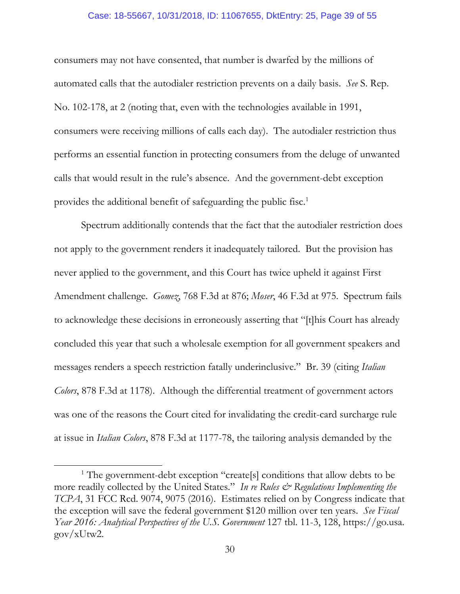#### Case: 18-55667, 10/31/2018, ID: 11067655, DktEntry: 25, Page 39 of 55

consumers may not have consented, that number is dwarfed by the millions of automated calls that the autodialer restriction prevents on a daily basis. *See* S. Rep. No. 102-178, at 2 (noting that, even with the technologies available in 1991, consumers were receiving millions of calls each day). The autodialer restriction thus performs an essential function in protecting consumers from the deluge of unwanted calls that would result in the rule's absence. And the government-debt exception provides the additional benefit of safeguarding the public fisc.<sup>1</sup>

Spectrum additionally contends that the fact that the autodialer restriction does not apply to the government renders it inadequately tailored. But the provision has never applied to the government, and this Court has twice upheld it against First Amendment challenge. *Gomez*, 768 F.3d at 876; *Moser*, 46 F.3d at 975. Spectrum fails to acknowledge these decisions in erroneously asserting that "[t]his Court has already concluded this year that such a wholesale exemption for all government speakers and messages renders a speech restriction fatally underinclusive." Br. 39 (citing *Italian Colors*, 878 F.3d at 1178). Although the differential treatment of government actors was one of the reasons the Court cited for invalidating the credit-card surcharge rule at issue in *Italian Colors*, 878 F.3d at 1177-78, the tailoring analysis demanded by the

 $\overline{a}$ 

<sup>&</sup>lt;sup>1</sup> The government-debt exception "create[s] conditions that allow debts to be more readily collected by the United States." In re Rules & Regulations Implementing the *TCPA*, 31 FCC Rcd. 9074, 9075 (2016). Estimates relied on by Congress indicate that the exception will save the federal government \$120 million over ten years. *See Fiscal Year 2016: Analytical Perspectives of the U.S. Government* 127 tbl. 11-3, 128, https://go.usa. gov/xUtw2.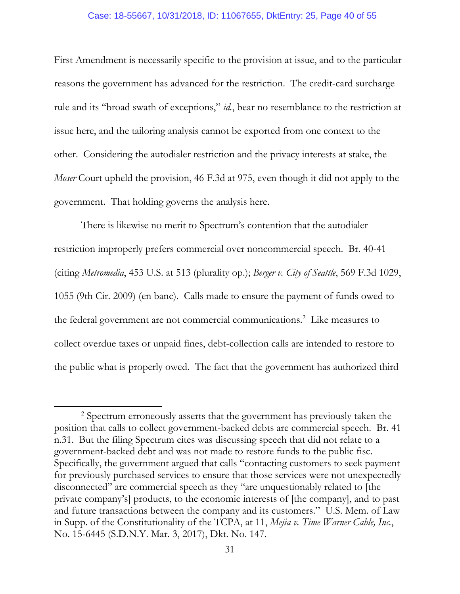### Case: 18-55667, 10/31/2018, ID: 11067655, DktEntry: 25, Page 40 of 55

First Amendment is necessarily specific to the provision at issue, and to the particular reasons the government has advanced for the restriction. The credit-card surcharge rule and its "broad swath of exceptions," *id.*, bear no resemblance to the restriction at issue here, and the tailoring analysis cannot be exported from one context to the other. Considering the autodialer restriction and the privacy interests at stake, the *Moser* Court upheld the provision, 46 F.3d at 975, even though it did not apply to the government. That holding governs the analysis here.

There is likewise no merit to Spectrum's contention that the autodialer restriction improperly prefers commercial over noncommercial speech. Br. 40-41 (citing *Metromedia*, 453 U.S. at 513 (plurality op.); *Berger v. City of Seattle*, 569 F.3d 1029, 1055 (9th Cir. 2009) (en banc). Calls made to ensure the payment of funds owed to the federal government are not commercial communications.2 Like measures to collect overdue taxes or unpaid fines, debt-collection calls are intended to restore to the public what is properly owed. The fact that the government has authorized third

 $\overline{a}$ 

<sup>2</sup> Spectrum erroneously asserts that the government has previously taken the position that calls to collect government-backed debts are commercial speech. Br. 41 n.31. But the filing Spectrum cites was discussing speech that did not relate to a government-backed debt and was not made to restore funds to the public fisc. Specifically, the government argued that calls "contacting customers to seek payment for previously purchased services to ensure that those services were not unexpectedly disconnected" are commercial speech as they "are unquestionably related to [the private company's] products, to the economic interests of [the company], and to past and future transactions between the company and its customers." U.S. Mem. of Law in Supp. of the Constitutionality of the TCPA, at 11, *Mejia v. Time Warner Cable, Inc.*, No. 15-6445 (S.D.N.Y. Mar. 3, 2017), Dkt. No. 147.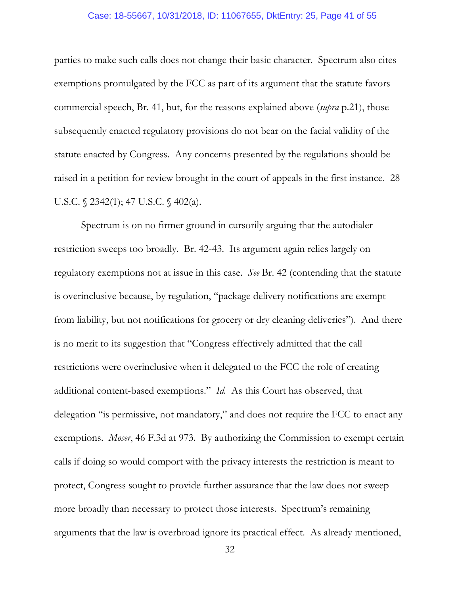### Case: 18-55667, 10/31/2018, ID: 11067655, DktEntry: 25, Page 41 of 55

parties to make such calls does not change their basic character. Spectrum also cites exemptions promulgated by the FCC as part of its argument that the statute favors commercial speech, Br. 41, but, for the reasons explained above (*supra* p.21), those subsequently enacted regulatory provisions do not bear on the facial validity of the statute enacted by Congress. Any concerns presented by the regulations should be raised in a petition for review brought in the court of appeals in the first instance. 28 U.S.C. § 2342(1); 47 U.S.C. § 402(a).

Spectrum is on no firmer ground in cursorily arguing that the autodialer restriction sweeps too broadly. Br. 42-43. Its argument again relies largely on regulatory exemptions not at issue in this case. *See* Br. 42 (contending that the statute is overinclusive because, by regulation, "package delivery notifications are exempt from liability, but not notifications for grocery or dry cleaning deliveries"). And there is no merit to its suggestion that "Congress effectively admitted that the call restrictions were overinclusive when it delegated to the FCC the role of creating additional content-based exemptions." *Id.* As this Court has observed, that delegation "is permissive, not mandatory," and does not require the FCC to enact any exemptions. *Moser*, 46 F.3d at 973. By authorizing the Commission to exempt certain calls if doing so would comport with the privacy interests the restriction is meant to protect, Congress sought to provide further assurance that the law does not sweep more broadly than necessary to protect those interests. Spectrum's remaining arguments that the law is overbroad ignore its practical effect. As already mentioned,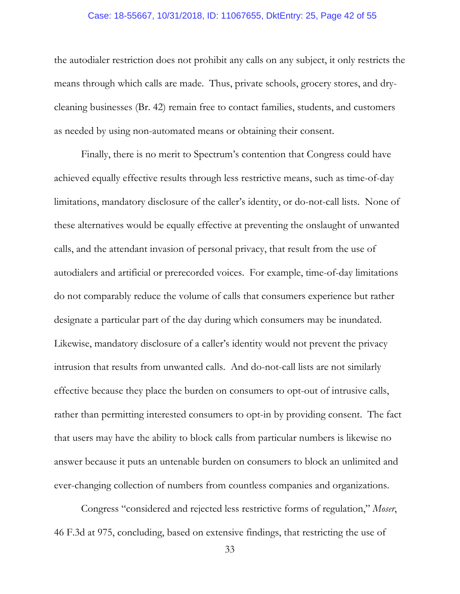### Case: 18-55667, 10/31/2018, ID: 11067655, DktEntry: 25, Page 42 of 55

the autodialer restriction does not prohibit any calls on any subject, it only restricts the means through which calls are made. Thus, private schools, grocery stores, and drycleaning businesses (Br. 42) remain free to contact families, students, and customers as needed by using non-automated means or obtaining their consent.

Finally, there is no merit to Spectrum's contention that Congress could have achieved equally effective results through less restrictive means, such as time-of-day limitations, mandatory disclosure of the caller's identity, or do-not-call lists. None of these alternatives would be equally effective at preventing the onslaught of unwanted calls, and the attendant invasion of personal privacy, that result from the use of autodialers and artificial or prerecorded voices. For example, time-of-day limitations do not comparably reduce the volume of calls that consumers experience but rather designate a particular part of the day during which consumers may be inundated. Likewise, mandatory disclosure of a caller's identity would not prevent the privacy intrusion that results from unwanted calls. And do-not-call lists are not similarly effective because they place the burden on consumers to opt-out of intrusive calls, rather than permitting interested consumers to opt-in by providing consent. The fact that users may have the ability to block calls from particular numbers is likewise no answer because it puts an untenable burden on consumers to block an unlimited and ever-changing collection of numbers from countless companies and organizations.

Congress "considered and rejected less restrictive forms of regulation," *Moser*, 46 F.3d at 975, concluding, based on extensive findings, that restricting the use of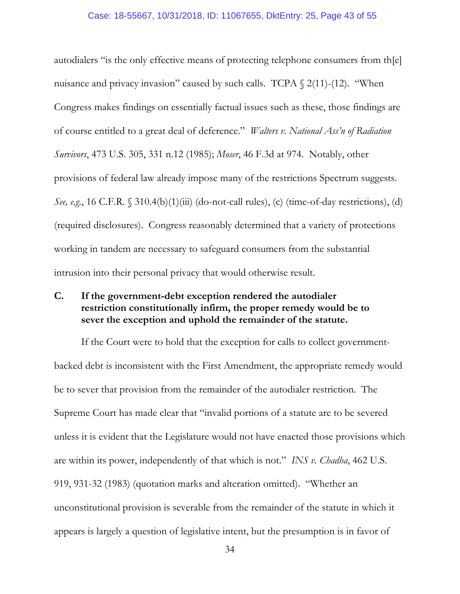#### Case: 18-55667, 10/31/2018, ID: 11067655, DktEntry: 25, Page 43 of 55

autodialers "is the only effective means of protecting telephone consumers from th[e] nuisance and privacy invasion" caused by such calls. TCPA  $\S 2(11)$ - $(12)$ . "When Congress makes findings on essentially factual issues such as these, those findings are of course entitled to a great deal of deference." *Walters v. National Ass'n of Radiation Survivors*, 473 U.S. 305, 331 n.12 (1985); *Moser*, 46 F.3d at 974. Notably, other provisions of federal law already impose many of the restrictions Spectrum suggests. *See, e.g.*, 16 C.F.R. § 310.4(b)(1)(iii) (do-not-call rules), (c) (time-of-day restrictions), (d) (required disclosures). Congress reasonably determined that a variety of protections working in tandem are necessary to safeguard consumers from the substantial intrusion into their personal privacy that would otherwise result.

## **C. If the government-debt exception rendered the autodialer restriction constitutionally infirm, the proper remedy would be to sever the exception and uphold the remainder of the statute.**

If the Court were to hold that the exception for calls to collect governmentbacked debt is inconsistent with the First Amendment, the appropriate remedy would be to sever that provision from the remainder of the autodialer restriction. The Supreme Court has made clear that "invalid portions of a statute are to be severed unless it is evident that the Legislature would not have enacted those provisions which are within its power, independently of that which is not." *INS v. Chadha*, 462 U.S. 919, 931-32 (1983) (quotation marks and alteration omitted). "Whether an unconstitutional provision is severable from the remainder of the statute in which it appears is largely a question of legislative intent, but the presumption is in favor of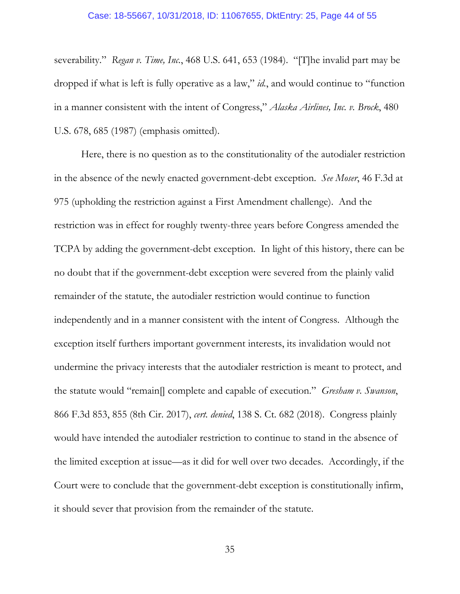### Case: 18-55667, 10/31/2018, ID: 11067655, DktEntry: 25, Page 44 of 55

severability." *Regan v. Time, Inc.*, 468 U.S. 641, 653 (1984). "[T]he invalid part may be dropped if what is left is fully operative as a law," *id.*, and would continue to "function in a manner consistent with the intent of Congress," *Alaska Airlines, Inc. v. Brock*, 480 U.S. 678, 685 (1987) (emphasis omitted).

Here, there is no question as to the constitutionality of the autodialer restriction in the absence of the newly enacted government-debt exception. *See Moser*, 46 F.3d at 975 (upholding the restriction against a First Amendment challenge). And the restriction was in effect for roughly twenty-three years before Congress amended the TCPA by adding the government-debt exception. In light of this history, there can be no doubt that if the government-debt exception were severed from the plainly valid remainder of the statute, the autodialer restriction would continue to function independently and in a manner consistent with the intent of Congress. Although the exception itself furthers important government interests, its invalidation would not undermine the privacy interests that the autodialer restriction is meant to protect, and the statute would "remain[] complete and capable of execution." *Gresham v. Swanson*, 866 F.3d 853, 855 (8th Cir. 2017), *cert. denied*, 138 S. Ct. 682 (2018). Congress plainly would have intended the autodialer restriction to continue to stand in the absence of the limited exception at issue—as it did for well over two decades. Accordingly, if the Court were to conclude that the government-debt exception is constitutionally infirm, it should sever that provision from the remainder of the statute.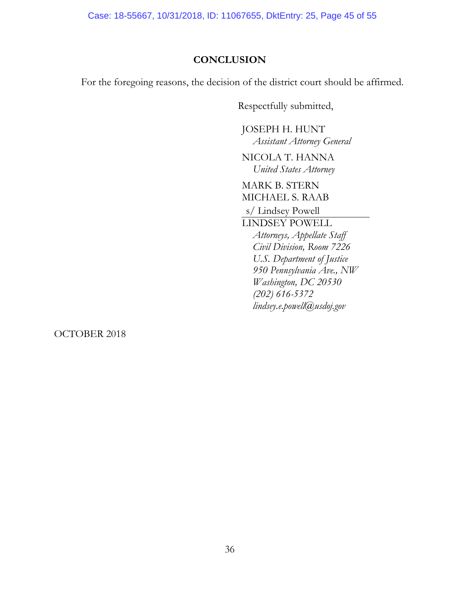Case: 18-55667, 10/31/2018, ID: 11067655, DktEntry: 25, Page 45 of 55

## **CONCLUSION**

For the foregoing reasons, the decision of the district court should be affirmed.

Respectfully submitted,

JOSEPH H. HUNT *Assistant Attorney General* 

NICOLA T. HANNA *United States Attorney* 

MARK B. STERN MICHAEL S. RAAB

s/ Lindsey Powell

LINDSEY POWELL

*Attorneys, Appellate Staff Civil Division, Room 7226 U.S. Department of Justice 950 Pennsylvania Ave., NW Washington, DC 20530 (202) 616-5372 lindsey.e.powell@usdoj.gov* 

OCTOBER 2018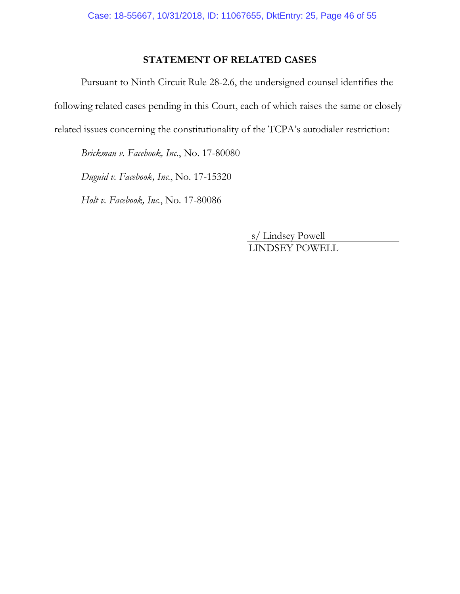## **STATEMENT OF RELATED CASES**

Pursuant to Ninth Circuit Rule 28-2.6, the undersigned counsel identifies the following related cases pending in this Court, each of which raises the same or closely related issues concerning the constitutionality of the TCPA's autodialer restriction:

*Brickman v. Facebook, Inc.*, No. 17-80080

*Duguid v. Facebook, Inc.*, No. 17-15320

*Holt v. Facebook, Inc.*, No. 17-80086

 s/ Lindsey Powell LINDSEY POWELL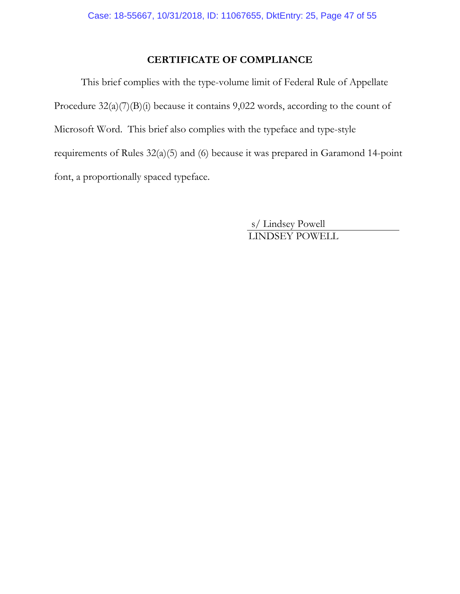## **CERTIFICATE OF COMPLIANCE**

This brief complies with the type-volume limit of Federal Rule of Appellate Procedure  $32(a)(7)(B)(i)$  because it contains 9,022 words, according to the count of Microsoft Word. This brief also complies with the typeface and type-style requirements of Rules 32(a)(5) and (6) because it was prepared in Garamond 14-point font, a proportionally spaced typeface.

 s/ Lindsey Powell LINDSEY POWELL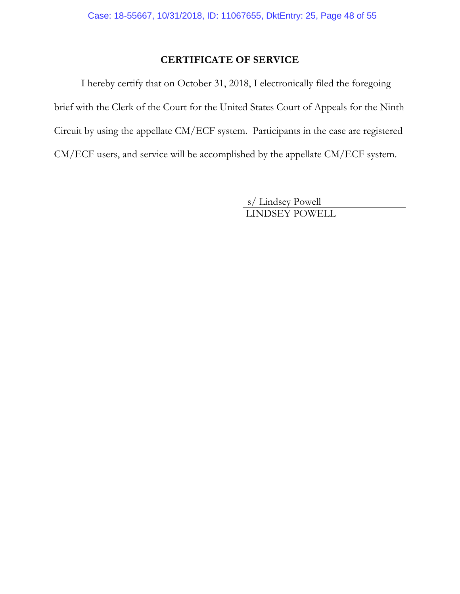## **CERTIFICATE OF SERVICE**

I hereby certify that on October 31, 2018, I electronically filed the foregoing brief with the Clerk of the Court for the United States Court of Appeals for the Ninth Circuit by using the appellate CM/ECF system. Participants in the case are registered CM/ECF users, and service will be accomplished by the appellate CM/ECF system.

 s/ Lindsey Powell LINDSEY POWELL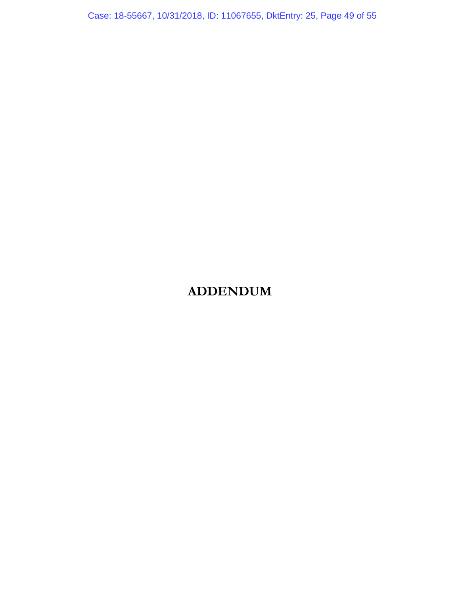Case: 18-55667, 10/31/2018, ID: 11067655, DktEntry: 25, Page 49 of 55

# **ADDENDUM**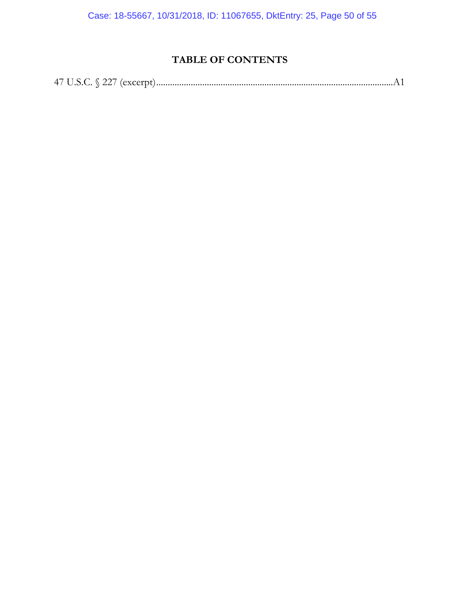Case: 18-55667, 10/31/2018, ID: 11067655, DktEntry: 25, Page 50 of 55

## **TABLE OF CONTENTS**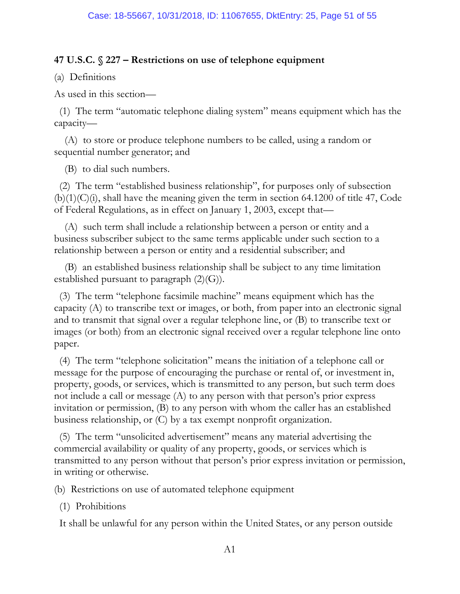## **47 U.S.C. § 227 – Restrictions on use of telephone equipment**

### (a) Definitions

As used in this section—

 (1) The term "automatic telephone dialing system" means equipment which has the capacity—

 (A) to store or produce telephone numbers to be called, using a random or sequential number generator; and

(B) to dial such numbers.

 (2) The term "established business relationship", for purposes only of subsection  $(b)(1)(C)(i)$ , shall have the meaning given the term in section 64.1200 of title 47, Code of Federal Regulations, as in effect on January 1, 2003, except that—

 (A) such term shall include a relationship between a person or entity and a business subscriber subject to the same terms applicable under such section to a relationship between a person or entity and a residential subscriber; and

 (B) an established business relationship shall be subject to any time limitation established pursuant to paragraph  $(2)(G)$ ).

 (3) The term "telephone facsimile machine" means equipment which has the capacity (A) to transcribe text or images, or both, from paper into an electronic signal and to transmit that signal over a regular telephone line, or (B) to transcribe text or images (or both) from an electronic signal received over a regular telephone line onto paper.

 (4) The term "telephone solicitation" means the initiation of a telephone call or message for the purpose of encouraging the purchase or rental of, or investment in, property, goods, or services, which is transmitted to any person, but such term does not include a call or message (A) to any person with that person's prior express invitation or permission, (B) to any person with whom the caller has an established business relationship, or (C) by a tax exempt nonprofit organization.

 (5) The term "unsolicited advertisement" means any material advertising the commercial availability or quality of any property, goods, or services which is transmitted to any person without that person's prior express invitation or permission, in writing or otherwise.

(b) Restrictions on use of automated telephone equipment

(1) Prohibitions

It shall be unlawful for any person within the United States, or any person outside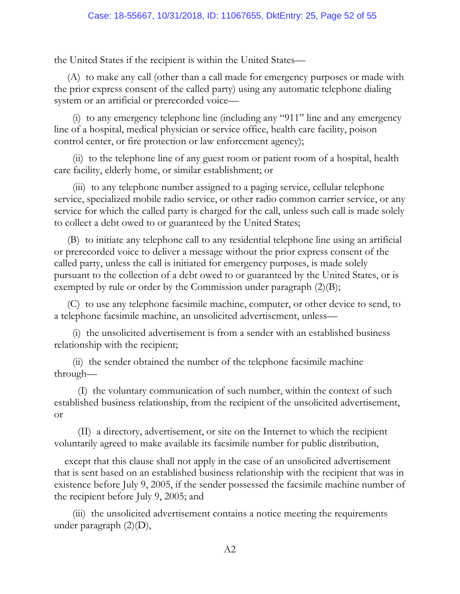### Case: 18-55667, 10/31/2018, ID: 11067655, DktEntry: 25, Page 52 of 55

the United States if the recipient is within the United States—

 (A) to make any call (other than a call made for emergency purposes or made with the prior express consent of the called party) using any automatic telephone dialing system or an artificial or prerecorded voice—

 (i) to any emergency telephone line (including any "911" line and any emergency line of a hospital, medical physician or service office, health care facility, poison control center, or fire protection or law enforcement agency);

 (ii) to the telephone line of any guest room or patient room of a hospital, health care facility, elderly home, or similar establishment; or

 (iii) to any telephone number assigned to a paging service, cellular telephone service, specialized mobile radio service, or other radio common carrier service, or any service for which the called party is charged for the call, unless such call is made solely to collect a debt owed to or guaranteed by the United States;

 (B) to initiate any telephone call to any residential telephone line using an artificial or prerecorded voice to deliver a message without the prior express consent of the called party, unless the call is initiated for emergency purposes, is made solely pursuant to the collection of a debt owed to or guaranteed by the United States, or is exempted by rule or order by the Commission under paragraph  $(2)(B)$ ;

 (C) to use any telephone facsimile machine, computer, or other device to send, to a telephone facsimile machine, an unsolicited advertisement, unless—

 (i) the unsolicited advertisement is from a sender with an established business relationship with the recipient;

 (ii) the sender obtained the number of the telephone facsimile machine through—

 (I) the voluntary communication of such number, within the context of such established business relationship, from the recipient of the unsolicited advertisement, or

 (II) a directory, advertisement, or site on the Internet to which the recipient voluntarily agreed to make available its facsimile number for public distribution,

except that this clause shall not apply in the case of an unsolicited advertisement that is sent based on an established business relationship with the recipient that was in existence before July 9, 2005, if the sender possessed the facsimile machine number of the recipient before July 9, 2005; and

 (iii) the unsolicited advertisement contains a notice meeting the requirements under paragraph (2)(D),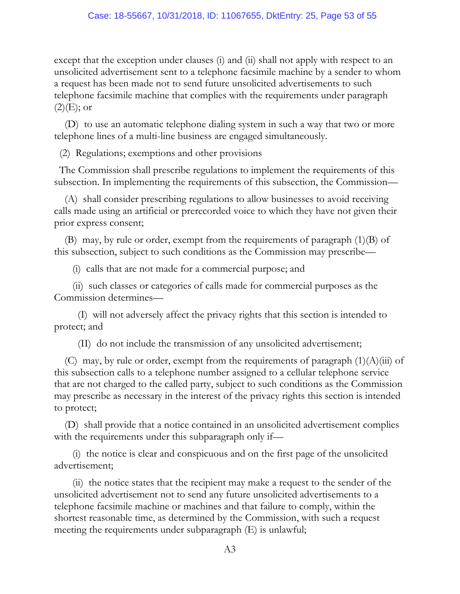except that the exception under clauses (i) and (ii) shall not apply with respect to an unsolicited advertisement sent to a telephone facsimile machine by a sender to whom a request has been made not to send future unsolicited advertisements to such telephone facsimile machine that complies with the requirements under paragraph  $(2)(E)$ ; or

 (D) to use an automatic telephone dialing system in such a way that two or more telephone lines of a multi-line business are engaged simultaneously.

(2) Regulations; exemptions and other provisions

 The Commission shall prescribe regulations to implement the requirements of this subsection. In implementing the requirements of this subsection, the Commission—

 (A) shall consider prescribing regulations to allow businesses to avoid receiving calls made using an artificial or prerecorded voice to which they have not given their prior express consent;

 (B) may, by rule or order, exempt from the requirements of paragraph (1)(B) of this subsection, subject to such conditions as the Commission may prescribe—

(i) calls that are not made for a commercial purpose; and

 (ii) such classes or categories of calls made for commercial purposes as the Commission determines—

 (I) will not adversely affect the privacy rights that this section is intended to protect; and

(II) do not include the transmission of any unsolicited advertisement;

(C) may, by rule or order, exempt from the requirements of paragraph  $(1)(A)(iii)$  of this subsection calls to a telephone number assigned to a cellular telephone service that are not charged to the called party, subject to such conditions as the Commission may prescribe as necessary in the interest of the privacy rights this section is intended to protect;

 (D) shall provide that a notice contained in an unsolicited advertisement complies with the requirements under this subparagraph only if—

 (i) the notice is clear and conspicuous and on the first page of the unsolicited advertisement;

 (ii) the notice states that the recipient may make a request to the sender of the unsolicited advertisement not to send any future unsolicited advertisements to a telephone facsimile machine or machines and that failure to comply, within the shortest reasonable time, as determined by the Commission, with such a request meeting the requirements under subparagraph (E) is unlawful;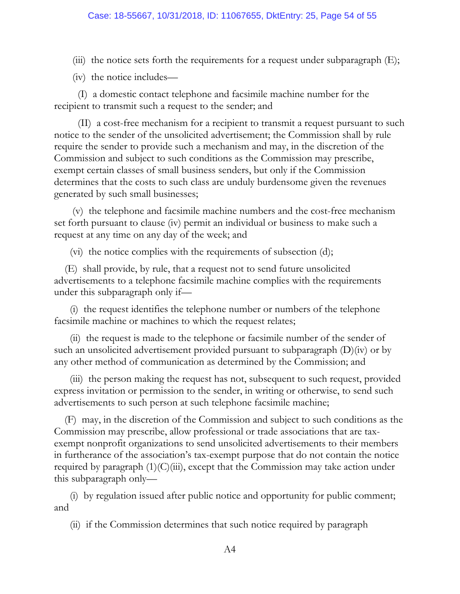(iii) the notice sets forth the requirements for a request under subparagraph (E);

(iv) the notice includes—

 (I) a domestic contact telephone and facsimile machine number for the recipient to transmit such a request to the sender; and

 (II) a cost-free mechanism for a recipient to transmit a request pursuant to such notice to the sender of the unsolicited advertisement; the Commission shall by rule require the sender to provide such a mechanism and may, in the discretion of the Commission and subject to such conditions as the Commission may prescribe, exempt certain classes of small business senders, but only if the Commission determines that the costs to such class are unduly burdensome given the revenues generated by such small businesses;

 (v) the telephone and facsimile machine numbers and the cost-free mechanism set forth pursuant to clause (iv) permit an individual or business to make such a request at any time on any day of the week; and

(vi) the notice complies with the requirements of subsection (d);

 (E) shall provide, by rule, that a request not to send future unsolicited advertisements to a telephone facsimile machine complies with the requirements under this subparagraph only if—

 (i) the request identifies the telephone number or numbers of the telephone facsimile machine or machines to which the request relates;

 (ii) the request is made to the telephone or facsimile number of the sender of such an unsolicited advertisement provided pursuant to subparagraph (D)(iv) or by any other method of communication as determined by the Commission; and

 (iii) the person making the request has not, subsequent to such request, provided express invitation or permission to the sender, in writing or otherwise, to send such advertisements to such person at such telephone facsimile machine;

 (F) may, in the discretion of the Commission and subject to such conditions as the Commission may prescribe, allow professional or trade associations that are taxexempt nonprofit organizations to send unsolicited advertisements to their members in furtherance of the association's tax-exempt purpose that do not contain the notice required by paragraph  $(1)(C)(iii)$ , except that the Commission may take action under this subparagraph only—

 (i) by regulation issued after public notice and opportunity for public comment; and

(ii) if the Commission determines that such notice required by paragraph